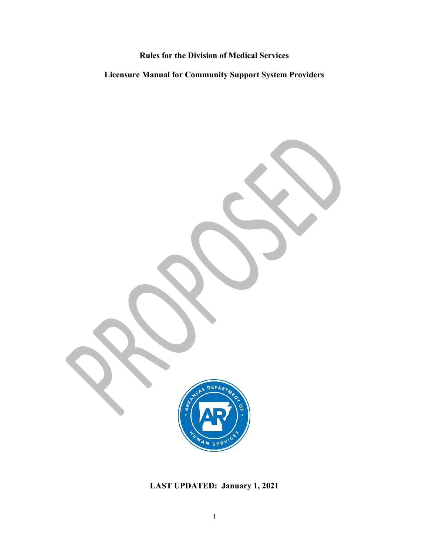Rules for the Division of Medical Services

Licensure Manual for Community Support System Providers

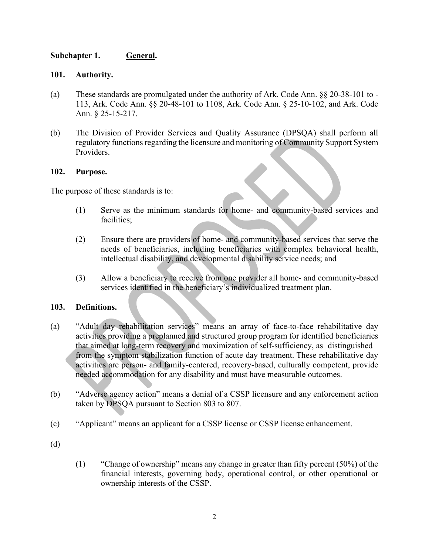# Subchapter 1. General.

- Subchapter 1. **General.**<br>
101. Authority.<br>
(a) These standards are promulgated under the authority of Ark. Code A<br>
113, Ark. Code Ann. § 20-48-101 to 1108, Ark. Code Ann. § 25-1<br>
Ann. § 25-15-217. (a) Subchapter 1. **General.**<br>
(a) These standards are promulgated under the authority of Ark. Code Ann. §§ 20-38-101 to -<br>
113, Ark. Code Ann. §§ 20-48-101 to 1108, Ark. Code Ann. § 25-10-102, and Ark. Code<br>
Ann. § 25-15pter 1.<br> **Authority.**<br>
These standards are promulgated under the authority of Ark. Code Ann. §§ 20-38-101 to -<br>
113, Ark. Code Ann. §§ 20-48-101 to 1108, Ark. Code Ann. § 25-10-102, and Ark. Code<br>
Ann. § 25-15-217.<br>
The Di Ann. § 25-15-217.
- (b) The Division of Provider Services and Quality Assurance (DPSQA) shall perform all regulatory functions regarding the licensure and monitoring of Community Support System Providers. (3) Ark. Code Ann. 88 20-48-101 to 1108, Ark. Code Ann. 825-10-102, and Ark. Code<br>
Ann. 825-15-217.<br>
The Division of Provider Services and Quality Assurance (DPSQA) shall perform all<br>
reproduces from one provider all home

## 102. Purpose.

The purpose of these standards is to:

- (1) Serve as the minimum standards for home- and community-based services and facilities;
- (2) Ensure there are providers of home- and community-based services that serve the needs of beneficiaries, including beneficiaries with complex behavioral health, intellectual disability, and developmental disability service needs; and
- services identified in the beneficiary's individualized treatment plan.

## 103. Definitions.

- (a) "Adult day rehabilitation services" means an array of face-to-face rehabilitative day activities providing a preplanned and structured group program for identified beneficiaries that aimed at long-term recovery and maximization of self-sufficiency, as distinguished from the symptom stabilization function of acute day treatment. These rehabilitative day activities are person- and family-centered, recovery-based, culturally competent, provide needed accommodation for any disability and must have measurable outcomes.
- (b) "Adverse agency action" means a denial of a CSSP licensure and any enforcement action taken by DPSQA pursuant to Section 803 to 807.
- (c) "Applicant" means an applicant for a CSSP license or CSSP license enhancement.
- 
- (d)<br>
(1) "Change of ownership" means any change in greater than fifty percent (50%) of the financial interests, governing body, operational control, or other operational or ownership interests of the CSSP.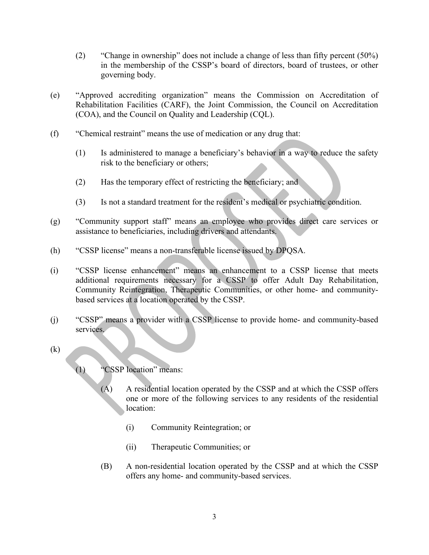- (2) "Change in ownership" does not include a change of less than fifty percent (50%) in the membership of the CSSP's board of directors, board of trustees, or other governing body.
- (e) "Approved accrediting organization" means the Commission on Accreditation of Rehabilitation Facilities (CARF), the Joint Commission, the Council on Accreditation (COA), and the Council on Quality and Leadership (CQL).
- (f) "Chemical restraint" means the use of medication or any drug that:
	- (1) Is administered to manage a beneficiary's behavior in a way to reduce the safety risk to the beneficiary or others;
	- (2) Has the temporary effect of restricting the beneficiary; and
	- (3) Is not a standard treatment for the resident's medical or psychiatric condition.
- (g) "Community support staff" means an employee who provides direct care services or assistance to beneficiaries, including drivers and attendants.
- (h) "CSSP license" means a non-transferable license issued by DPQSA.
- (i) "CSSP license enhancement" means an enhancement to a CSSP license that meets additional requirements necessary for a CSSP to offer Adult Day Rehabilitation, Community Reintegration, Therapeutic Communities, or other home- and community-Chemical restraint" means the use of medication or any drug that:<br>
(1) Is administered to manage a beneficiary's behavior in a way to reduce the safety<br>
risk to the beneficiary or others;<br>
(2) Has the temporary effect of r
- (j) "CSSP" means a provider with a CSSP license to provide home- and community-based services.
- (k)

(1) "CSSP location" means:

- $(A)$  A residential location operated by the CSSP and at which the CSSP offers one or more of the following services to any residents of the residential location:
	- (i) Community Reintegration; or
	- (ii) Therapeutic Communities; or
- (B) A non-residential location operated by the CSSP and at which the CSSP offers any home- and community-based services.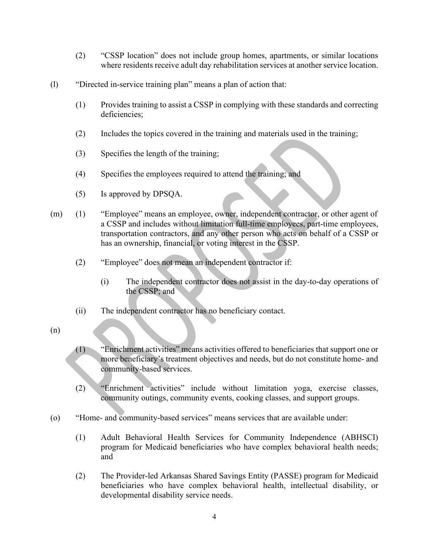- (2) "CSSP location" does not include group homes, apartments, or similar locations where residents receive adult day rehabilitation services at another service location.
- (l) "Directed in-service training plan" means a plan of action that:
	- (1) Provides training to assist a CSSP in complying with these standards and correcting deficiencies;
	- (2) Includes the topics covered in the training and materials used in the training;
	- (3) Specifies the length of the training;
	- (4) Specifies the employees required to attend the training; and
	- (5) Is approved by DPSQA.
- (m) (1) "Employee" means an employee, owner, independent contractor, or other agent of a CSSP and includes without limitation full-time employees, part-time employees, transportation contractors, and any other person who acts on behalf of a CSSP or has an ownership, financial, or voting interest in the CSSP. is approved by DPSQA.<br>
"Employee" means an employee, owner, independent contractor, or other agent of<br>
a CSSP and includes without limitation full-time employees, part-time employees,<br>
transportation contractors, and any o
	- (2) "Employee" does not mean an independent contractor if:
		- (i) The independent contractor does not assist in the day-to-day operations of the CSSP; and
	- (ii) The independent contractor has no beneficiary contact.
- (n)
- (1) "Enrichment activities" means activities offered to beneficiaries that support one or community-based services.
- (2) "Enrichment activities" include without limitation yoga, exercise classes, community outings, community events, cooking classes, and support groups.
- (o) "Home- and community-based services" means services that are available under:
- (2) The independent contractor is the day-to-day operations of<br>
(i) The independent contractor does not assist in the day-to-day operations of<br>
the CSSP; and<br>
(ii) The independent contractor has no beneficiary contact.<br>
(i program for Medicaid beneficiaries who have complex behavioral health needs; and The Community School of Constrainer Community School of the School of the Constitute of the Constitute of the Community-based services.<br>
The Community-based services.<br>
The Community-based services.<br>
The Community services
	- (2) The Provider-led Arkansas Shared Savings Entity (PASSE) program for Medicaid beneficiaries who have complex behavioral health, intellectual disability, or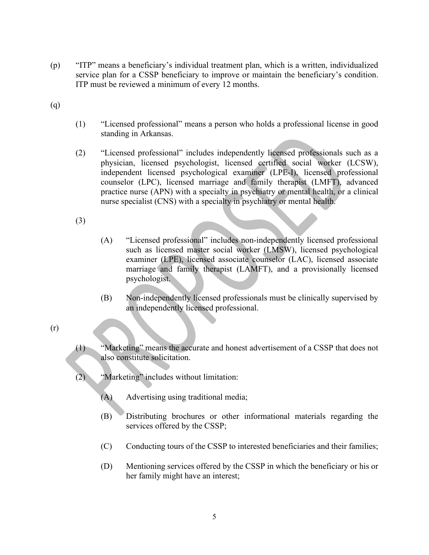- (p) "ITP" means a beneficiary's individual treatment plan, which is a written, individualized service plan for a CSSP beneficiary to improve or maintain the beneficiary's condition.<br>ITP must be reviewed a minimum of every service plan for a CSSP beneficiary to improve or maintain the beneficiary's condition. ITP must be reviewed a minimum of every 12 months. (p) "ITP" means a beneficiary's individual treatment plan, which is a v<br>service plan for a CSSP beneficiary to improve or maintain the be<br>ITP must be reviewed a minimum of every 12 months.<br>(q) (1) "Licensed professional" m
- 
- (1) "Licensed professional" means a person who holds a professional license in good standing in Arkansas.
- (2) "Licensed professional" includes independently licensed professionals such as a physician, licensed psychologist, licensed certified social worker (LCSW), independent licensed psychological examiner (LPE-I), licensed professional counselor (LPC), licensed marriage and family therapist (LMFT), advanced practice nurse (APN) with a specialty in psychiatry or mental health, or a clinical nurse specialist (CNS) with a specialty in psychiatry or mental health.
- (3)
- (A) "Licensed professional" includes non-independently licensed professional such as licensed master social worker (LMSW), licensed psychological examiner (LPE), licensed associate counselor (LAC), licensed associate marriage and family therapist (LAMFT), and a provisionally licensed psychologist.
- (B) Non-independently licensed professionals must be clinically supervised by an independently licensed professional.
- (r)
- (1) "Marketing" means the accurate and honest advertisement of a CSSP that does not also constitute solicitation.
- (2) "Marketing" includes without limitation:
	- (A) Advertising using traditional media;
	- (B) Distributing brochures or other informational materials regarding the services offered by the CSSP;
	- (C) Conducting tours of the CSSP to interested beneficiaries and their families;
	- (D) Mentioning services offered by the CSSP in which the beneficiary or his or her family might have an interest;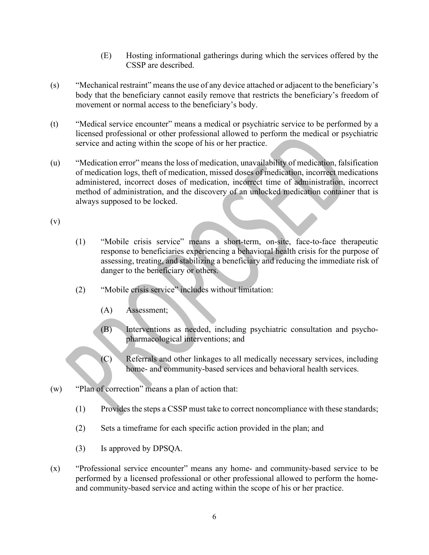- CSSP are described.
- (E) Hosting informational gatherings during which the services offered by the CSSP are described.<br>
unical restraint'' means the use of any device attached or adjacent to the beneficiary's<br>
at the beneficiary cannot easily (s) "Mechanical restraint" means the use of any device attached or adjacent to the beneficiary's body that the beneficiary cannot easily remove that restricts the beneficiary's freedom of movement or normal access to the beneficiary's body.
- (t) "Medical service encounter" means a medical or psychiatric service to be performed by a licensed professional or other professional allowed to perform the medical or psychiatric service and acting within the scope of his or her practice.
- (E) Hosting informational gatherings during which the services offered by the CSSP are described.<br>
(s) "Mechanical restraint" means the use of any device attached or adjacent to the beneficiary's body that the beneficiary of medication logs, theft of medication, missed doses of medication, incorrect medications administered, incorrect doses of medication, incorrect time of administration, incorrect method of administration, and the discovery of an unlocked medication container that is always supposed to be locked. (E) Hosting informational gatherings during which the s<br>
CSSP are described.<br>
(s) "Mechanical restraint" means the use of any device attached or adjace<br>
body that the beneficiary cannot casily remove that restricts the ber
- 
- (1) "Mobile crisis service" means a short-term, on-site, face-to-face therapeutic response to beneficiaries experiencing a behavioral health crisis for the purpose of assessing, treating, and stabilizing a beneficiary and reducing the immediate risk of danger to the beneficiary or others.
- (2) "Mobile crisis service" includes without limitation:
	- (A) Assessment;
	- (B) Interventions as needed, including psychiatric consultation and psychopharmacological interventions; and
	- (C) Referrals and other linkages to all medically necessary services, including home- and community-based services and behavioral health services.
- (w) "Plan of correction" means a plan of action that:
	- (1) Provides the steps a CSSP must take to correct noncompliance with these standards;
	- (2) Sets a timeframe for each specific action provided in the plan; and
	- (3) Is approved by DPSQA.
- (x) "Professional service encounter" means any home- and community-based service to be performed by a licensed professional or other professional allowed to perform the homeand community-based service and acting within the scope of his or her practice.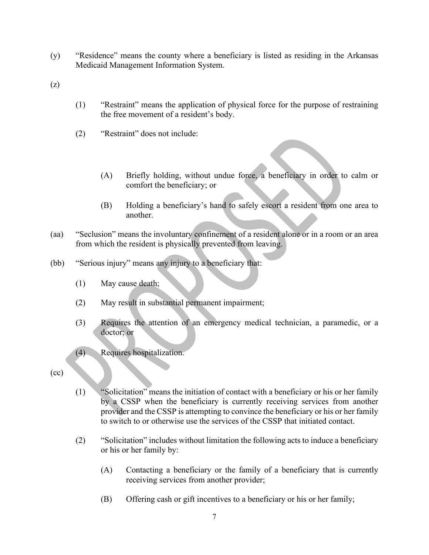- (y) "Residence" means the county where a beneficiary is listed as residing in the Arkansas<br>Medicaid Management Information System.<br>(z) Medicaid Management Information System. (y) "Residence" means the county where a beneficiary is listed as res:<br>
Medicaid Management Information System.<br>
(z)  $(1)$  "Restraint" means the application of physical force for the p<br>
the free movement of a resident's b
- 
- (1) "Restraint" means the application of physical force for the purpose of restraining the free movement of a resident's body.
- (2) "Restraint" does not include:
	- (A) Briefly holding, without undue force, a beneficiary in order to calm or comfort the beneficiary; or
	- (B) Holding a beneficiary's hand to safely escort a resident from one area to another.
- (aa) "Seclusion" means the involuntary confinement of a resident alone or in a room or an area from which the resident is physically prevented from leaving.
- (bb) "Serious injury" means any injury to a beneficiary that:
	- (1) May cause death;
	- (2) May result in substantial permanent impairment;
	- (3) Requires the attention of an emergency medical technician, a paramedic, or a doctor; or
	- (4) Requires hospitalization.
- 
- (cc) (1) "Solicitation" means the initiation of contact with a beneficiary or his or her family by a CSSP when the beneficiary is currently receiving services from another provider and the CSSP is attempting to convince the beneficiary or his or her family to switch to or otherwise use the services of the CSSP that initiated contact.
	- (2) "Solicitation" includes without limitation the following acts to induce a beneficiary or his or her family by:
		- (A) Contacting a beneficiary or the family of a beneficiary that is currently receiving services from another provider;
		- (B) Offering cash or gift incentives to a beneficiary or his or her family;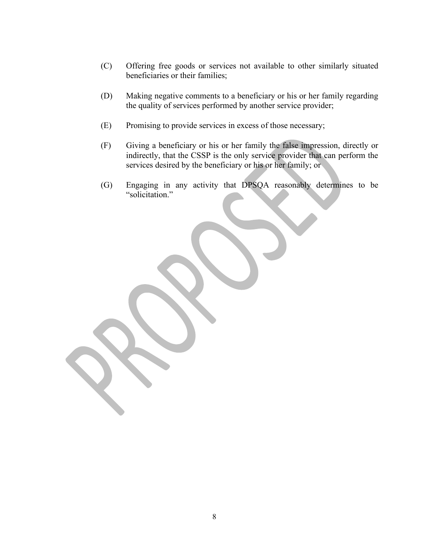- (C) Offering free goods or services not available to other similarly situated beneficiaries or their families;
- (D) Making negative comments to a beneficiary or his or her family regarding the quality of services performed by another service provider;
- 
- (C) Offering free goods or services not available to other similarly situated<br>beneficiaries or their families;<br>(D) Making negative comments to a beneficiary or his or her family regarding<br>the quality of services performed (C) Offering free goods or services not available to other similarly situated<br>beneficiaries or their families;<br>(D) Making negative comments to a beneficiary or his or her family regarding<br>the quality of services performed Offering free goods or services not available to other similarly situated<br>beneficiaries or their families;<br>Making negative comments to a beneficiary or his or her family regarding<br>the quality of services performed by anoth services desired by the beneficiary or his or her family; or
- (G) Engaging in any activity that DPSQA reasonably determines to be "solicitation."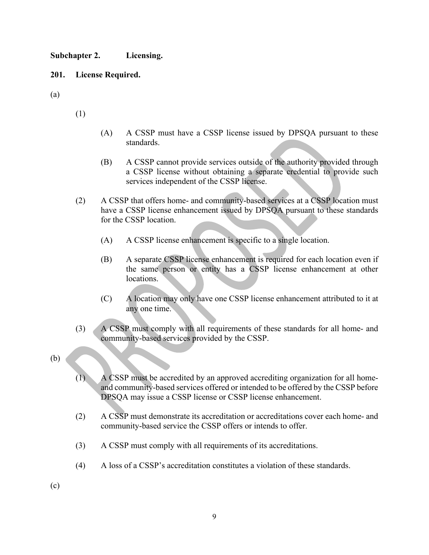Subchapter 2. Licensing.

## 201. License Required.

- (a)  $(1)$ 
	- (A) A CSSP must have a CSSP license issued by DPSQA pursuant to these standards.
	- (B) A CSSP cannot provide services outside of the authority provided through a CSSP license without obtaining a separate credential to provide such services independent of the CSSP license.
- (2) A CSSP must have a CSSP license issued by DPSQA pursuant to these<br>standards.<br>(3) A CSSP cannot provide services outside of the authority provided through<br>a CSSP license without obtaining a separate exclential to provi have a CSSP license enhancement issued by DPSQA pursuant to these standards for the CSSP location.
	- (A) A CSSP license enhancement is specific to a single location.
	- (B) A separate CSSP license enhancement is required for each location even if the same person or entity has a CSSP license enhancement at other locations.
	- (C) A location may only have one CSSP license enhancement attributed to it at any one time.
	- (3) A CSSP must comply with all requirements of these standards for all home- and community-based services provided by the CSSP.
- (b)
- (1) A CSSP must be accredited by an approved accrediting organization for all homeand community-based services offered or intended to be offered by the CSSP before DPSQA may issue a CSSP license or CSSP license enhancement.
- (2) A CSSP must demonstrate its accreditation or accreditations cover each home- and community-based service the CSSP offers or intends to offer.
- (3) A CSSP must comply with all requirements of its accreditations.
- (4) A loss of a CSSP's accreditation constitutes a violation of these standards.
- (c)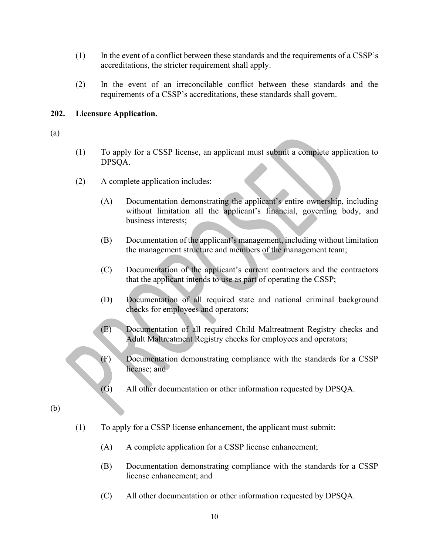- (1) In the event of a conflict between these standards and the requirements of a CSSP's accreditations, the stricter requirement shall apply.
- (2) In the event of an irreconcilable conflict between these standards and the requirements of a CSSP's accreditations, these standards shall govern.

## 202. Licensure Application.

- (a)
- (1) To apply for a CSSP license, an applicant must submit a complete application to DPSQA.
- (2) A complete application includes:
	- (A) Documentation demonstrating the applicant's entire ownership, including without limitation all the applicant's financial, governing body, and business interests;
	- (B) Documentation of the applicant's management, including without limitation the management structure and members of the management team;
	- (C) Documentation of the applicant's current contractors and the contractors that the applicant intends to use as part of operating the CSSP;
	- (D) Documentation of all required state and national criminal background checks for employees and operators;
	- (E) Documentation of all required Child Maltreatment Registry checks and Adult Maltreatment Registry checks for employees and operators;
	- (F) Documentation demonstrating compliance with the standards for a CSSP license; and
	- (G) All other documentation or other information requested by DPSQA.
- (b)
- (1) To apply for a CSSP license enhancement, the applicant must submit:
	- (A) A complete application for a CSSP license enhancement;
	- (B) Documentation demonstrating compliance with the standards for a CSSP license enhancement; and
	- (C) All other documentation or other information requested by DPSQA.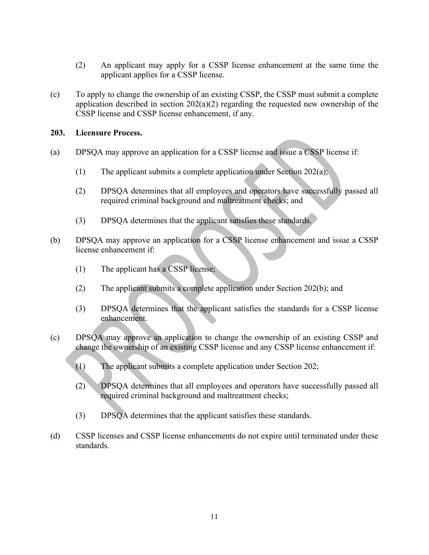- (2) An applicant may apply for a CSSP license enhancement at the same time the applicant applies for a CSSP license.
- (2) An applicant may apply for a CSSP license enhancement at the same time the applicant applies for a CSSP license.<br>
(c) To apply to change the ownership of an existing CSSP, the CSSP must submit a complete application d (2) An applicant may apply for a CSSP license enhancement at the same time the applicant applies for a CSSP license.<br>To apply to change the ownership of an existing CSSP, the CSSP must submit a complete application descri CSSP license and CSSP license enhancement, if any. (2) An applicant may apply for a CSSP license enhancement at the same time the<br>applicant applies for a CSSP license.<br>(c) To apply to change the ownership of an existing CSSP, the CSSP must submit a complete<br>application de

## 203. Licensure Process.

- - (1) The applicant submits a complete application under Section 202(a);
	- (2) DPSQA determines that all employees and operators have successfully passed all required criminal background and maltreatment checks; and
	- (3) DPSQA determines that the applicant satisfies these standards.
- (b) DPSQA may approve an application for a CSSP license enhancement and issue a CSSP license enhancement if:
	- (1) The applicant has a CSSP license;
	-
- (2) The applicant submits a complete application under Section 202(a); and the application under Section 202(a); can be application under Section 202(a); and application under Section 202(a); and complete application under Licensure Process.<br>
DPSQA may approve an application for a CSSP license and issue a CSSP license if:<br>
(1) The applicant submits a complete application under Section 202(a);<br>
(2) DPSQA determines that all employees and oper enhancement.
- (c) DPSQA may approve an application to change the ownership of an existing CSSP and change the ownership of an existing CSSP license and any CSSP license enhancement if:
	- (1) The applicant submits a complete application under Section 202;
	- (2) DPSQA determines that all employees and operators have successfully passed all required criminal background and maltreatment checks;
	- (3) DPSQA determines that the applicant satisfies these standards.
- (d) CSSP licenses and CSSP license enhancements do not expire until terminated under these standards.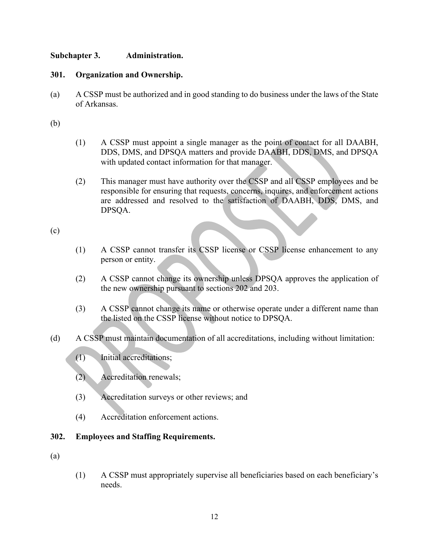# Subchapter 3. Administration.

Subchapter 3. Administration.<br>301. Organization and Ownership.<br>(a) A CSSP must be authorized and in good standing to do business under of Arkansas. (a) Companization and Ownership.<br>
(a) A CSSP must be authorized and in good standing to do business under the laws of the State<br>
of Arkansas.<br>
(b) of Arkansas.

- Subchapter 3. **Administration.**<br>
301. Organization and Ownership.<br>
(a) A CSSP must be authorized and in good standing to do business unde<br>
of Arkansas.<br>
(b) (1) A CSSP must appoint a single manager as the point of cor<br>
DDS (1) A CSSP must appoint a single manager as the point of contact for all DAABH, Administration.<br>
2 must be authorized and in good standing to do business under the laws of the State<br>
msas.<br>
A CSSP must appoint a single manager as the point of contact for all DAABH,<br>
DDS, DMS, and DPSQA matters and pro with updated contact information for that manager.
	- (2) This manager must have authority over the CSSP and all CSSP employees and be responsible for ensuring that requests, concerns, inquires, and enforcement actions are addressed and resolved to the satisfaction of DAABH, DDS, DMS, and DPSQA.

(c)

- (1) A CSSP cannot transfer its CSSP license or CSSP license enhancement to any person or entity.
- (2) A CSSP cannot change its ownership unless DPSQA approves the application of the new ownership pursuant to sections 202 and 203.
- (3) A CSSP cannot change its name or otherwise operate under a different name than the listed on the CSSP license without notice to DPSQA.
- (d) A CSSP must maintain documentation of all accreditations, including without limitation:
	- (1) Initial accreditations;
	- (2) Accreditation renewals;
	- (3) Accreditation surveys or other reviews; and
	- (4) Accreditation enforcement actions.

## 302. Employees and Staffing Requirements.

- (a)
- (1) A CSSP must appropriately supervise all beneficiaries based on each beneficiary's needs.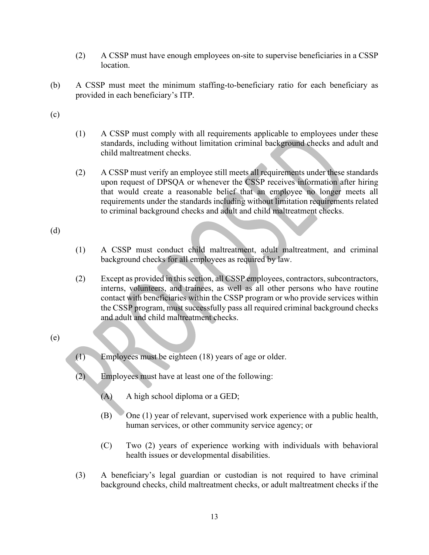- location.
- (2) A CSSP must have enough employees on-site to supervise beneficiaries in a CSSP<br>location.<br>A CSSP must meet the minimum staffing-to-beneficiary ratio for each beneficiary as<br>provided in each beneficiary's ITP. (b) A CSSP must meet the minimum staffing-to-beneficiary ratio for each beneficiary as provided in each beneficiary's ITP.
- (c)
- (2)  $\triangle$  CSSP must have enough employees on-site to supervise beneficiaries in a CSSP<br>location.<br>A CSSP must meet the minimum staffing-to-beneficiary ratio for each beneficiary as<br>provided in each beneficiary's ITP.<br>(1)  $\$ standards, including without limitation criminal background checks and adult and child maltreatment checks.
- (2) A CSSP must verify an employee still meets all requirements under these standards upon request of DPSQA or whenever the CSSP receives information after hiring that would create a reasonable belief that an employee no longer meets all requirements under the standards including without limitation requirements related to criminal background checks and adult and child maltreatment checks. (2) A CSSP must have enough employees on-site to supervise b<br>location.<br>(b) A CSSP must meet the minimum staffing-to-beneficiary ratio for<br>provided in each beneficiary's ITP.<br>(c)<br>(1) A CSSP must comply with all requirements (1) A CSSP must conduct child maltreatment, adult maltreatment, and criminal background child maltreatment checks.<br>
(2) A CSSP must comply with all requirements applicable to employees under these standards, including wit A CSSP must comply with all requirements applicable to employees under these standards, including without limitation criminal background checks and adult and child maltreatment checks.<br>A CSSP must verify an employee still
- 
- background checks for all employees as required by law.
- (2) Except as provided in this section, all CSSP employees, contractors, subcontractors, interns, volunteers, and trainees, as well as all other persons who have routine the CSSP program, must successfully pass all required criminal background checks and adult and child maltreatment checks. (Except as provided in this section, all CSSP employees, contractors, subcontractors, interns, volunteers, and trainese, as well as all other persons who have routine contact with benchicaries within the CSSP program or wh contact with beneficiaries within the CSSP program or who provide services within<br>the CSSP program, must successfully pass all required criminal background checks<br>and adult and child mallteatment checks.<br>(2) Employees mus

# (e)

- (1) Employees must be eighteen (18) years of age or older.
- (2) Employees must have at least one of the following:
	- (A) A high school diploma or a GED;
	- (B) One (1) year of relevant, supervised work experience with a public health, human services, or other community service agency; or
	- health issues or developmental disabilities.
- background checks, child maltreatment checks, or adult maltreatment checks if the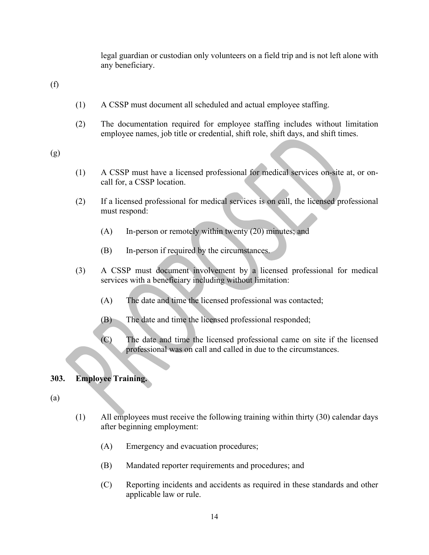legal guardian or custodian only volunteers on a field trip and is not left alone with any beneficiary. legal guardian or custodian only volunteers on a field trip and<br>any beneficiary.<br>(f)<br>(1) A CSSP must document all scheduled and actual employee s<br>(2) The documentation required for employee staffing include

- (1) A CSSP must document all scheduled and actual employee staffing.
- (2) The documentation required for employee staffing includes without limitation employee names, job title or credential, shift role, shift days, and shift times. (1) Legal guardian or custodian only volunteers on a field trip and is not left alone with<br>any beneficiary.<br>
(1) A CSSP must document all scheduled and actual employee staffing.<br>
(2) The documentation required for employee

(g)

- call for, a CSSP location.
- (2) If a licensed professional for medical services is on call, the licensed professional must respond:
	- (A) In-person or remotely within twenty (20) minutes; and
	- (B) In-person if required by the circumstances.
- (3) A CSSP must document involvement by a licensed professional for medical services with a beneficiary including without limitation:
	- (A) The date and time the licensed professional was contacted;
	- (B) The date and time the licensed professional responded;
	- (C) The date and time the licensed professional came on site if the licensed professional was on call and called in due to the circumstances.

# 303. Employee Training.

(a)

- (1) All employees must receive the following training within thirty (30) calendar days after beginning employment:
	- (A) Emergency and evacuation procedures;
	- (B) Mandated reporter requirements and procedures; and
	- (C) Reporting incidents and accidents as required in these standards and other applicable law or rule.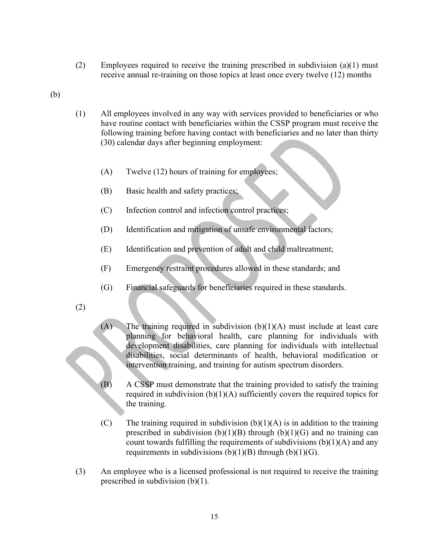- (2) Employees required to receive the training prescribed in subdivision (a)(1) must receive annual re-training on those topics at least once every twelve (12) months
- (b)
- (1) All employees involved in any way with services provided to beneficiaries or who have routine contact with beneficiaries within the CSSP program must receive the following training before having contact with beneficiaries and no later than thirty (30) calendar days after beginning employment:
	- (A) Twelve (12) hours of training for employees;
	- (B) Basic health and safety practices;
	- (C) Infection control and infection control practices;
	- (D) Identification and mitigation of unsafe environmental factors;
	- (E) Identification and prevention of adult and child maltreatment;
	- (F) Emergency restraint procedures allowed in these standards; and
	- (G) Financial safeguards for beneficiaries required in these standards.
- (2)
- $(A)$  The training required in subdivision  $(b)(1)(A)$  must include at least care planning for behavioral health, care planning for individuals with development disabilities, care planning for individuals with intellectual disabilities, social determinants of health, behavioral modification or intervention training, and training for autism spectrum disorders.
- (B) A CSSP must demonstrate that the training provided to satisfy the training required in subdivision (b)(1)(A) sufficiently covers the required topics for the training.
- (C) The training required in subdivision  $(b)(1)(A)$  is in addition to the training prescribed in subdivision  $(b)(1)(B)$  through  $(b)(1)(G)$  and no training can count towards fulfilling the requirements of subdivisions  $(b)(1)(A)$  and any requirements in subdivisions  $(b)(1)(B)$  through  $(b)(1)(G)$ .
- (3) An employee who is a licensed professional is not required to receive the training prescribed in subdivision (b)(1).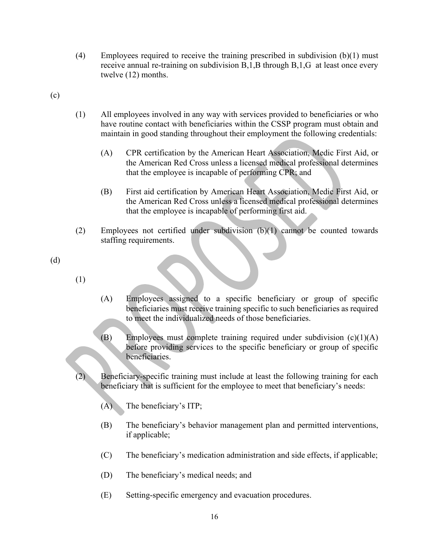- (4) Employees required to receive the training prescribed in subdivision (b)(1) must receive annual re-training on subdivision B,1,B through B,1,G at least once every twelve (12) months.
- 
- (4) Employees required to receive the training prescribed in su<br>receive annual re-training on subdivision B,1,B through B,1,<br>twelve (12) months.<br>(c)<br>(1) All employees involved in any way with services provided to<br>have rou (1) All employees involved in any way with services provided to beneficiaries or who have routine contact with beneficiaries within the CSSP program must obtain and Employees required to receive the training prescribed in subdivision  $(b)(1)$  must<br>receive annual re-training on subdivision B,1,B through B,1,G at least once every<br>twelve (12) months.<br>All employees involved in any way with (4) Employees required to receive the training preseribed in subdivision (b)(1) must<br>receive annual re-training on subdivision B,1,B through B,1,G at least once every<br>twelve (12) months.<br>(1) All employees involved in any
	- (A) CPR certification by the American Heart Association, Medic First Aid, or the American Red Cross unless a licensed medical professional determines that the employee is incapable of performing CPR; and
	- (B) First aid certification by American Heart Association, Medic First Aid, or the American Red Cross unless a licensed medical professional determines that the employee is incapable of performing first aid.
	- staffing requirements.
- (d)
- (1)
- (A) Employees assigned to a specific beneficiary or group of specific beneficiaries must receive training specific to such beneficiaries as required to meet the individualized needs of those beneficiaries.
- (B) Employees must complete training required under subdivision  $(c)(1)(A)$ before providing services to the specific beneficiary or group of specific beneficiaries.
- (2) Beneficiary-specific training must include at least the following training for each beneficiary that is sufficient for the employee to meet that beneficiary's needs:
	- (A) The beneficiary's ITP;
	- (B) The beneficiary's behavior management plan and permitted interventions, if applicable;
	- (C) The beneficiary's medication administration and side effects, if applicable;
	- (D) The beneficiary's medical needs; and
	- (E) Setting-specific emergency and evacuation procedures.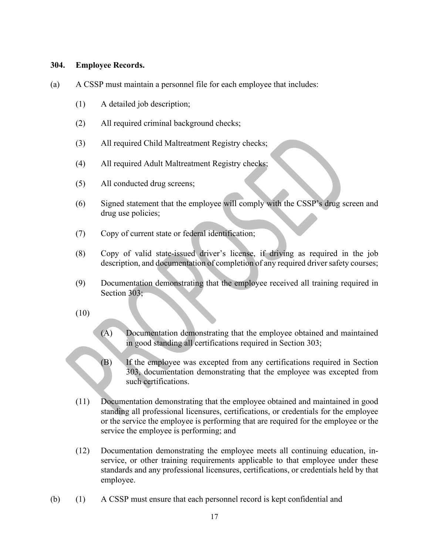- 304. **Employee Records.**<br>(a) A CSSP must maintain a personnel file for each employee that inclu<br>(1) A detailed job description; (a) **A CSSP** must maintain a personnel file for each employee that includes:<br>
(b) A detailed job description;<br>
(c) All required criminal background checks;
	- (1) A detailed job description;
	- (2) All required criminal background checks;
	- (3) All required Child Maltreatment Registry checks;
	- (4) All required Adult Maltreatment Registry checks;
	- (5) All conducted drug screens;
	- (6) Signed statement that the employee will comply with the CSSP's drug screen and drug use policies;
	- (7) Copy of current state or federal identification;
	- (8) Copy of valid state-issued driver's license, if driving as required in the job description, and documentation of completion of any required driver safety courses;
	- (9) Documentation demonstrating that the employee received all training required in Section 303;
	- (10)
- (A) Documentation demonstrating that the employee obtained and maintained in good standing all certifications required in Section 303;
- (B) If the employee was excepted from any certifications required in Section 303, documentation demonstrating that the employee was excepted from such certifications.
- (11) Documentation demonstrating that the employee obtained and maintained in good standing all professional licensures, certifications, or credentials for the employee or the service the employee is performing that are required for the employee or the service the employee is performing; and
- (12) Documentation demonstrating the employee meets all continuing education, inservice, or other training requirements applicable to that employee under these standards and any professional licensures, certifications, or credentials held by that employee.
- (b) (1) A CSSP must ensure that each personnel record is kept confidential and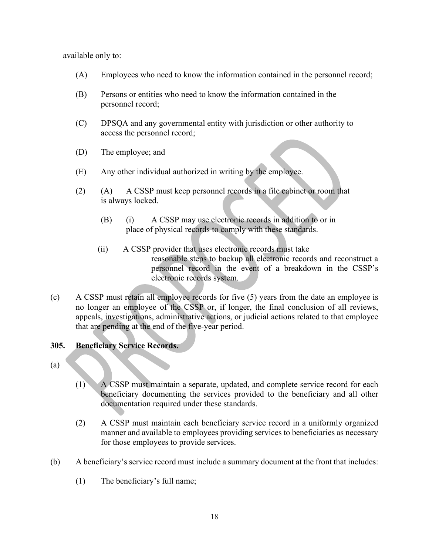available only to:

- (A) Employees who need to know the information contained in the personnel record;
- (B) Persons or entities who need to know the information contained in the personnel record;
- (C) DPSQA and any governmental entity with jurisdiction or other authority to access the personnel record;
- (D) The employee; and
- (E) Any other individual authorized in writing by the employee.
- (2) (A) A CSSP must keep personnel records in a file cabinet or room that is always locked.
	- (B) (i) A CSSP may use electronic records in addition to or in place of physical records to comply with these standards.
	- (ii) A CSSP provider that uses electronic records must take reasonable steps to backup all electronic records and reconstruct a personnel record in the event of a breakdown in the CSSP's electronic records system.
- (c) A CSSP must retain all employee records for five (5) years from the date an employee is no longer an employee of the CSSP or, if longer, the final conclusion of all reviews, appeals, investigations, administrative actions, or judicial actions related to that employee that are pending at the end of the five-year period. (E) Any other individual authorized in writing by the employee.<br>
(2) (A) A CSSP must keep personnel records in a file cabine is always locked.<br>
(B) (i) A CSSP may use electronic records in additional place of physical rec (2) (A) A CSSP must keep personnel records in a file cabine<br>
is always locked.<br>
(B) (i) A CSSP may use electronic records in additio<br>
place of physical records to comply with these stands<br>
(ii) A CSSP provider that uses e (c) A CSSP must retain a level of social system.<br>
Note that the conditions of functions of the conditions of the front must include a suppeals, investigations, administrative actions, or judicial actions related to that e

- 
- (1) A CSSP must maintain a separate, updated, and complete service record for each beneficiary documenting the services provided to the beneficiary and all other documentation required under these standards.
- (2) A CSSP must maintain each beneficiary service record in a uniformly organized manner and available to employees providing services to beneficiaries as necessary for those employees to provide services.
- - (1) The beneficiary's full name;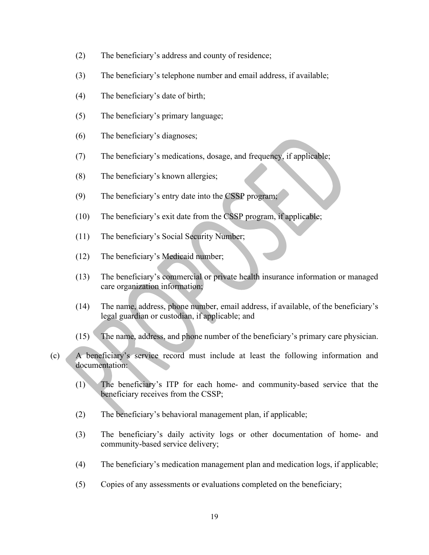- (2) The beneficiary's address and county of residence;
- (3) The beneficiary's telephone number and email address, if available;
- (4) The beneficiary's date of birth;
- (5) The beneficiary's primary language;
- (6) The beneficiary's diagnoses;
- (7) The beneficiary's medications, dosage, and frequency, if applicable;
- (8) The beneficiary's known allergies;
- (9) The beneficiary's entry date into the CSSP program;
- (10) The beneficiary's exit date from the CSSP program, if applicable;
- (11) The beneficiary's Social Security Number;
- (12) The beneficiary's Medicaid number;
- (13) The beneficiary's commercial or private health insurance information or managed care organization information;
- (14) The name, address, phone number, email address, if available, of the beneficiary's The beneficiary's diagnoses;<br>
The beneficiary's medications, dosage, and frequency, if applicable;<br>
The beneficiary's known allergies;<br>
The beneficiary's exit date from the CSSP program, if applicable;<br>
The beneficiary's e (1) The beneficiary's medications, dosage, and frequency, it applicable:<br>
(8) The beneficiary's entry date into the CSSP program;<br>
(10) The beneficiary's exit date from the CSSP program;<br>
(12) The beneficiary's Cocial Secu (10) The beneficiary's exit date from the CSSP program, if applicable;<br>
(12) The beneficiary's Cocial Security Number;<br>
(13) The beneficiary's commercial or private health insurance information or managed<br>
care organizatio (12) The beneficiary's Medicaid number;<br>
(13) The beneficiary's commercial or private health insurance information or managed<br>
care organization information;<br>
(14) The name, address, phone number, email address, if availab
- 
- (8) The beneficiary's stnown allergies;<br>
(9) The beneficiary's servict date from the CSSP program, if applicable;<br>
(11) The beneficiary's service from the CSSP program, if applicable;<br>
(12) The beneficiary's Medicaid numb documentation:
	- beneficiary receives from the CSSP;
	- (2) The beneficiary's behavioral management plan, if applicable;
	- community-based service delivery;
	- (4) The beneficiary's medication management plan and medication logs, if applicable;
	- (5) Copies of any assessments or evaluations completed on the beneficiary;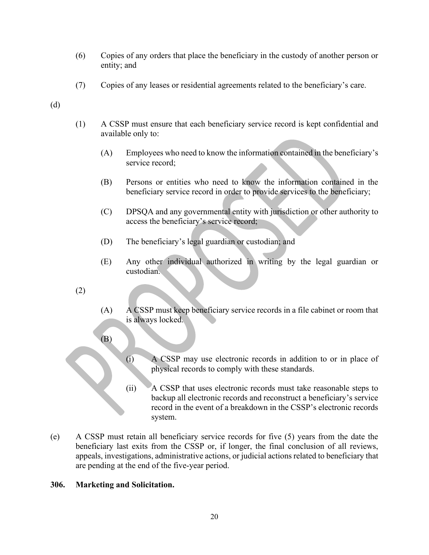- (6) Copies of any orders that place the beneficiary in the custody of another person or entity; and
- (7) Copies of any leases or residential agreements related to the beneficiary's care.
- (d)
- (1) A CSSP must ensure that each beneficiary service record is kept confidential and available only to:
- (A) Employees who need to know the information contained in the beneficiary's service record; Copies of any orders that place the beneficiary in the custody of another person or<br>entity; and<br>Copies of any leases or residential agreements related to the beneficiary's care.<br>A CSSP must ensure that each beneficiary ser
	- (B) Persons or entities who need to know the information contained in the beneficiary service record in order to provide services to the beneficiary;
	- access the beneficiary's service record;
	- (D) The beneficiary's legal guardian or custodian; and
	- (E) Any other individual authorized in writing by the legal guardian or custodian.
- (2)
- (A) A CSSP must keep beneficiary service records in a file cabinet or room that is always locked.
- (B)
- (i) A CSSP may use electronic records in addition to or in place of physical records to comply with these standards.
- (ii) A CSSP that uses electronic records must take reasonable steps to backup all electronic records and reconstruct a beneficiary's service record in the event of a breakdown in the CSSP's electronic records system.
- (e) A CSSP must retain all beneficiary service records for five (5) years from the date the beneficiary last exits from the CSSP or, if longer, the final conclusion of all reviews, appeals, investigations, administrative actions, or judicial actions related to beneficiary that are pending at the end of the five-year period.

## 306. Marketing and Solicitation.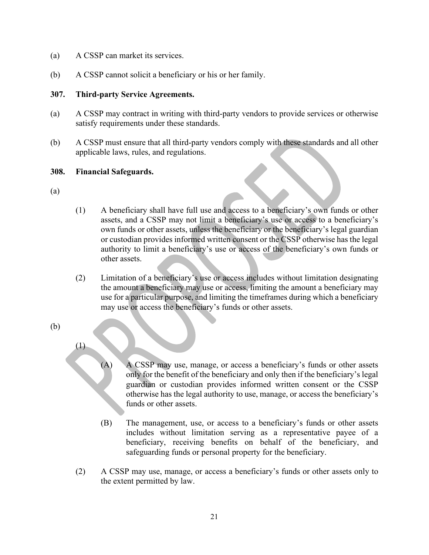- 
- (a) A CSSP can market its services.<br>
(b) A CSSP cannot solicit a beneficiary or his or her family.<br> **307. Third-party Service Agreements.** (b) A CSSP cannot solicit a beneficiary or his or her family.

## 307. Third-party Service Agreements.

- satisfy requirements under these standards.
- (a) A CSSP can market its services.<br>
(b) A CSSP cannot solicit a beneficiary or his or her family.<br> **307.** Third-party Service Agreements.<br>
(a) A CSSP may contract in writing with third-party vendors to provide services or (a) A CSSP can market its services.<br>
(b) A CSSP cannot solicit a beneficiary or his or her family.<br>
307. Third-party Service Agreements.<br>
(a) A CSSP may contract in writing with third-party vendors to provide services or o applicable laws, rules, and regulations.

# 308. Financial Safeguards.

- (a)
- (1) A beneficiary shall have full use and access to a beneficiary's own funds or other assets, and a CSSP may not limit a beneficiary's use or access to a beneficiary's own funds or other assets, unless the beneficiary or the beneficiary's legal guardian between the series and the main of the family.<br>
Searty Service Agreements.<br>
The may contract in writing with third-party vendors to provide services or otherwise<br>
requirements under these standards.<br>
Put the consent or the authority to limit a beneficiary's use or access of the beneficiary's own funds or other assets.
- (2) Limitation of a beneficiary's use or access includes without limitation designating the amount a beneficiary may use or access, limiting the amount a beneficiary may use for a particular purpose, and limiting the timeframes during which a beneficiary may use or access the beneficiary's funds or other assets.
- (b)
- (1)
	- (A) A CSSP may use, manage, or access a beneficiary's funds or other assets only for the benefit of the beneficiary and only then if the beneficiary's legal guardian or custodian provides informed written consent or the CSSP otherwise has the legal authority to use, manage, or access the beneficiary's funds or other assets.
	- (B) The management, use, or access to a beneficiary's funds or other assets includes without limitation serving as a representative payee of a beneficiary, receiving benefits on behalf of the beneficiary, and safeguarding funds or personal property for the beneficiary.
- (2) A CSSP may use, manage, or access a beneficiary's funds or other assets only to the extent permitted by law.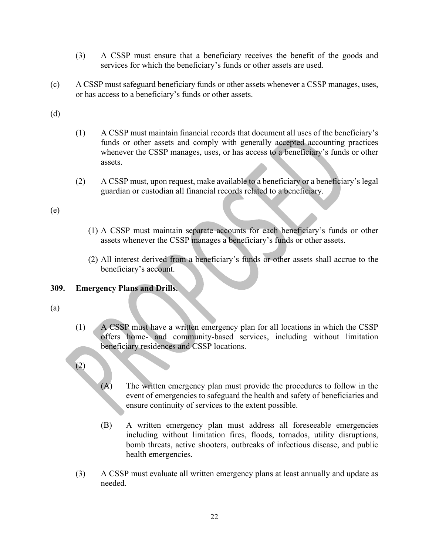- (3) A CSSP must ensure that a beneficiary receives the benefit of the goods and services for which the beneficiary's funds or other assets are used.
- (3) A CSSP must ensure that a beneficiary receives the benefit of the goods and<br>services for which the beneficiary's funds or other assets are used.<br>(c) A CSSP must safeguard beneficiary funds or other assets whenever a C or has access to a beneficiary's funds or other assets.

- (3) A CSSP must ensure that a beneficiary receives the beneficiary's funds or other assets are<br>
(c) A CSSP must safeguard beneficiary's funds or other assets whenever a<br>
or has access to a beneficiary's funds or other asse (3) A CSSP must ensure that a beneficiary receives the benefit of the goods and<br>services for which the beneficiary's funds or other assets are used.<br>A CSSP must safeguard beneficiary's funds or other assets.<br>(1) A CSSP mu funds or other assets and comply with generally accepted accounting practices whenever the CSSP manages, uses, or has access to a beneficiary's funds or other assets.
	- (2) A CSSP must, upon request, make available to a beneficiary or a beneficiary's legal guardian or custodian all financial records related to a beneficiary.

(e)

- (1) A CSSP must maintain separate accounts for each beneficiary's funds or other assets whenever the CSSP manages a beneficiary's funds or other assets.
- (2) All interest derived from a beneficiary's funds or other assets shall accrue to the beneficiary's account.

## 309. Emergency Plans and Drills.

- (a)
- (1) A CSSP must have a written emergency plan for all locations in which the CSSP offers home- and community-based services, including without limitation beneficiary residences and CSSP locations.
- (2)
- (A) The written emergency plan must provide the procedures to follow in the event of emergencies to safeguard the health and safety of beneficiaries and ensure continuity of services to the extent possible.
- (B) A written emergency plan must address all foreseeable emergencies including without limitation fires, floods, tornados, utility disruptions, bomb threats, active shooters, outbreaks of infectious disease, and public health emergencies.
- (3) A CSSP must evaluate all written emergency plans at least annually and update as needed.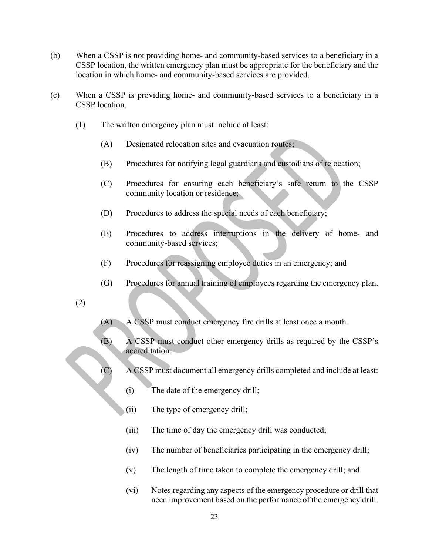- (b) When a CSSP is not providing home- and community-based services to a beneficiary in a<br>CSSP location, the written emergency plan must be appropriate for the beneficiary and the<br>location in which home- and community-base CSSP location, the written emergency plan must be appropriate for the beneficiary and the When a CSSP is not providing home- and community-based services to a beneficiary in a<br>CSSP location, the written emergency plan must be appropriate for the beneficiary and the<br>location in which home- and community-based se (b) When a CSSP is not providing home- and community-based services to a beneficiary in a<br>CSSP location, the written emergency plan must be appropriate for the beneficiary and the<br>location in which home- and community-base (CSSP is not providing home- and community-based services to a beneficiary in a<br>coation, the written emergency plan must be appropriate for the beneficiary and the<br>in which home- and community-based services are provided.<br>
- CSSP location,
	- (1) The written emergency plan must include at least:
		- (A) Designated relocation sites and evacuation routes;
		- (B) Procedures for notifying legal guardians and custodians of relocation;
		- (C) Procedures for ensuring each beneficiary's safe return to the CSSP community location or residence;
		- (D) Procedures to address the special needs of each beneficiary;
		- community-based services;
		- (F) Procedures for reassigning employee duties in an emergency; and
		- (G) Procedures for annual training of employees regarding the emergency plan.
	- (2)
- (A) A CSSP must conduct emergency fire drills at least once a month.
- (B) A CSSP must conduct other emergency drills as required by the CSSP's accreditation.
- (C) A CSSP must document all emergency drills completed and include at least:
	- (i) The date of the emergency drill;
	- (ii) The type of emergency drill;
	- (iii) The time of day the emergency drill was conducted;
	- (iv) The number of beneficiaries participating in the emergency drill;
	- (v) The length of time taken to complete the emergency drill; and
	- (vi) Notes regarding any aspects of the emergency procedure or drill that need improvement based on the performance of the emergency drill.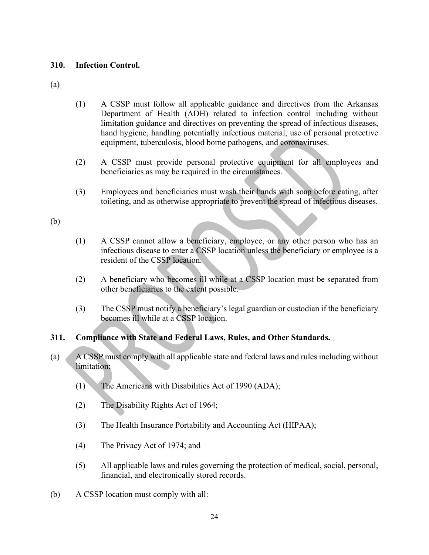(a)

- 310. Infection Control.<br>
(a)<br>
(1) A CSSP must follow all applicable guidance and directive (1) A CSSP must follow all applicable guidance and directives from the Arkansas **EXEM** FROM THE SERVICE THE SERVICE THE SERVICE THE SERVICE THE SERVICE THE SERVICE THE SERVICE THE SERVICE THE SERVICE THE SERVICE THAT A properting the speed of infections diseases, hand hygiene, handling potentially inf limitation guidance and directives on preventing the spread of infectious diseases, hand hygiene, handling potentially infectious material, use of personal protective equipment, tuberculosis, blood borne pathogens, and coronaviruses. Infection Control.<br>
(1)  $\triangle$  CSSP must follow all applicable guidance and directives from the Arkansas<br>
Department of Health (ADH) related to infection control including without<br>
limitation guidance and directives on prev The Control Control and applicable guidance and directives from the Arkansas<br>Department of Health (ADH) related to infection control including without<br>ilmitation guidance and directives on preventing the spread of infectio (1) A CSSP must follow all applicable guidance and directives from the Arkansas<br>
Department of Health (ADH) related to infection control including without<br>
limitation guidance and directives on preventing the spread of in
	- beneficiaries as may be required in the circumstances.
	- (3) Employees and beneficiaries must wash their hands with soap before eating, after

# (b)

- (1) A CSSP cannot allow a beneficiary, employee, or any other person who has an infectious disease to enter a CSSP location unless the beneficiary or employee is a resident of the CSSP location. hand hygienc, handling potentially infectious material, use of personal protective<br>equipment, tuberculosis, blood borne pathogens, and coronaviruses.<br>
(2) A CSSP must provide personal protective equipment for all employee
- other beneficiaries to the extent possible.
- becomes ill while at a CSSP location.

# 311. Compliance with State and Federal Laws, Rules, and Other Standards.

- (a) A CSSP must comply with all applicable state and federal laws and rules including without limitation:
	- (1) The Americans with Disabilities Act of 1990 (ADA);
	- (2) The Disability Rights Act of 1964;
	- (3) The Health Insurance Portability and Accounting Act (HIPAA);
	- (4) The Privacy Act of 1974; and
	- (5) All applicable laws and rules governing the protection of medical, social, personal, financial, and electronically stored records.
- (b) A CSSP location must comply with all: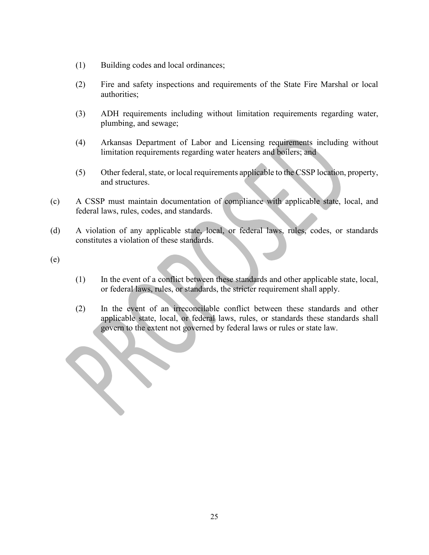- (1) Building codes and local ordinances;
- (2) Fire and safety inspections and requirements of the State Fire Marshal or local authorities;
- (3) ADH requirements including without limitation requirements regarding water, plumbing, and sewage;
- (4) Arkansas Department of Labor and Licensing requirements including without limitation requirements regarding water heaters and boilers; and
- (5) Other federal, state, or local requirements applicable to the CSSP location, property, and structures.
- (c) A CSSP must maintain documentation of compliance with applicable state, local, and federal laws, rules, codes, and standards. (1) Building codes and local ordinances;<br>
(2) Fire and safety inspections and requirements of the State Fire Marshal or local authorities;<br>
(3) ADH requirements including without limitation requirements regarding water,<br> (2) Fire and safety inspections and requirements of the State authorities;<br>
(3) ADH requirements including without limitation requirement<br>
plumbing, and sewage;<br>
(4) Arkansas Department of Labor and Licensing requirement<br>
- constitutes a violation of these standards.
- 
- (1) In the event of a conflict between these standards and other applicable state, local,
- The magnitude is including without limitation requirements regarding water,<br>plumbing, and sewage;<br>Arkansas Department of Labor and Licensing requirements including without<br>limitation requirements regarding water heaters an (2) In the event of an irreconcilable conflict between these standards and other Arkansas Department of Labor and Licensing requirements including without limitation requirements regarding water heaters and boilers; and<br>Other federal, state, or local requirements applicable to the CSSP location, proper govern to the extent not governed by federal laws or rules or state law.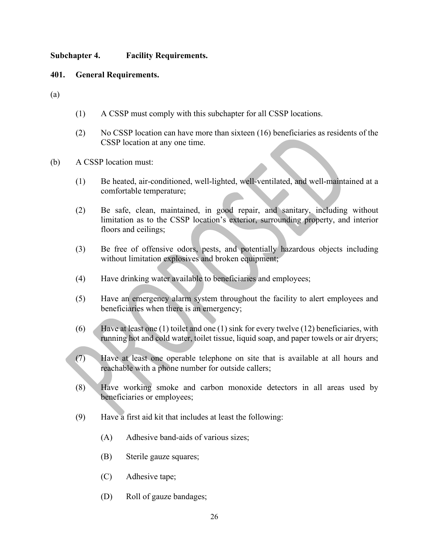# Subchapter 4. Facility Requirements.

## 401. General Requirements.

(a)

- (1) A CSSP must comply with this subchapter for all CSSP locations.
- (2) Contact the Facility Requirements.<br>
(2) A CSSP must comply with this subchapter for all CSSP locations.<br>
(2) No CSSP location can have more than sixteen (16) beneficiaries as residents of the<br>
CSSP location must:<br>
(1) CSSP location at any one time.
- (b) A CSSP location must:
	- (1) Be heated, air-conditioned, well-lighted, well-ventilated, and well-maintained at a comfortable temperature;
	- (2) Be safe, clean, maintained, in good repair, and sanitary, including without limitation as to the CSSP location's exterior, surrounding property, and interior floors and ceilings;
	- (3) Be free of offensive odors, pests, and potentially hazardous objects including without limitation explosives and broken equipment;
	- (4) Have drinking water available to beneficiaries and employees;
	- (5) Have an emergency alarm system throughout the facility to alert employees and beneficiaries when there is an emergency;
	- (6) Have at least one (1) toilet and one (1) sink for every twelve (12) beneficiaries, with running hot and cold water, toilet tissue, liquid soap, and paper towels or air dryers;
	- (7) Have at least one operable telephone on site that is available at all hours and reachable with a phone number for outside callers;
	- (8) Have working smoke and carbon monoxide detectors in all areas used by beneficiaries or employees;
	- (9) Have a first aid kit that includes at least the following:
		- (A) Adhesive band-aids of various sizes;
		- (B) Sterile gauze squares;
		- (C) Adhesive tape;
		- (D) Roll of gauze bandages;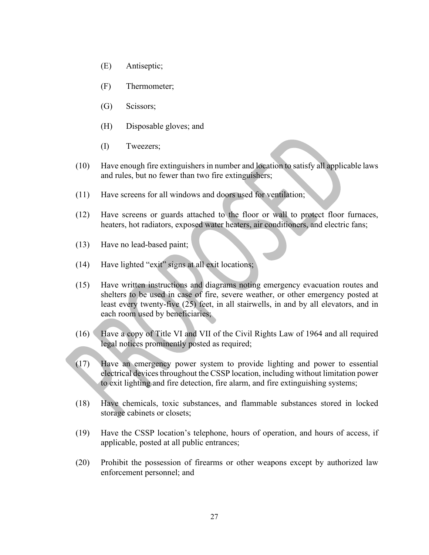- 
- (E) Antiseptic;<br>(F) Thermometer;<br>(G) Scissors;
- (G) Scissors;
- (E) Antiseptic;<br>(F) Thermometer;<br>(G) Scissors;<br>(H) Disposable gloves; and (H) Disposable gloves; and
- (I) Tweezers;
- (10) Have enough fire extinguishers in number and location to satisfy all applicable laws and rules, but no fewer than two fire extinguishers;
- (11) Have screens for all windows and doors used for ventilation;
- (12) Have screens or guards attached to the floor or wall to protect floor furnaces, heaters, hot radiators, exposed water heaters, air conditioners, and electric fans;
- (13) Have no lead-based paint;
- (14) Have lighted "exit" signs at all exit locations;
- (15) Have written instructions and diagrams noting emergency evacuation routes and shelters to be used in case of fire, severe weather, or other emergency posted at least every twenty-five (25) feet, in all stairwells, in and by all elevators, and in each room used by beneficiaries;
- (16) Have a copy of Title VI and VII of the Civil Rights Law of 1964 and all required legal notices prominently posted as required;
- (17) Have an emergency power system to provide lighting and power to essential electrical devices throughout the CSSP location, including without limitation power to exit lighting and fire detection, fire alarm, and fire extinguishing systems;
- (18) Have chemicals, toxic substances, and flammable substances stored in locked storage cabinets or closets;
- (19) Have the CSSP location's telephone, hours of operation, and hours of access, if applicable, posted at all public entrances;
- (20) Prohibit the possession of firearms or other weapons except by authorized law enforcement personnel; and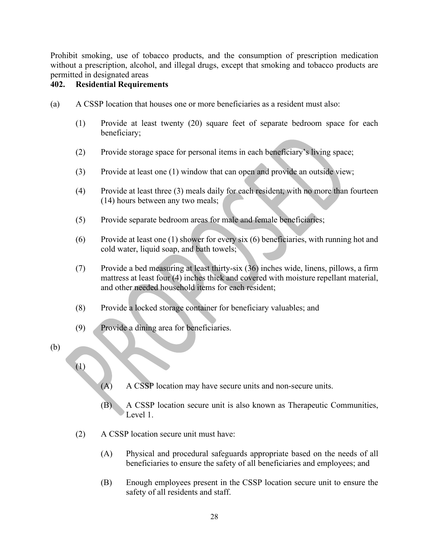Prohibit smoking, use of tobacco products, and the consumption of prescription medication without a prescription, alcohol, and illegal drugs, except that smoking and tobacco products are permitted in designated areas Prohibit smoking, use of tobacco products, and the consumption of provident a prescription, alcohol, and illegal drugs, except that smoking and<br>permitted in designated areas<br>**402.** Residential Requirements<br>(a) A CSSP locat (a) Prohibit smoking, use of tobacco products, and the consumption of prescription medication<br>without a prescription, alcohol, and illegal drugs, except that smoking and tobacco products are<br>**402.** Residential Requirements

- - (1) Provide at least twenty (20) square feet of separate bedroom space for each beneficiary;
	- (2) Provide storage space for personal items in each beneficiary's living space;
	- (3) Provide at least one (1) window that can open and provide an outside view;
	- (4) Provide at least three (3) meals daily for each resident, with no more than fourteen (14) hours between any two meals;
	- (5) Provide separate bedroom areas for male and female beneficiaries;
	- (6) Provide at least one (1) shower for every six (6) beneficiaries, with running hot and cold water, liquid soap, and bath towels;
	- (7) Provide a bed measuring at least thirty-six (36) inches wide, linens, pillows, a firm mattress at least four (4) inches thick and covered with moisture repellant material, and other needed household items for each resident;
	- (8) Provide a locked storage container for beneficiary valuables; and
	- (9) Provide a dining area for beneficiaries.
- (b)
- (1)
- (A) A CSSP location may have secure units and non-secure units.
- (B) A CSSP location secure unit is also known as Therapeutic Communities, Level 1.
- (2) A CSSP location secure unit must have:
	- (A) Physical and procedural safeguards appropriate based on the needs of all beneficiaries to ensure the safety of all beneficiaries and employees; and
- (B) Provide a locked storage container for beneficiarity valuables; and<br>
Provide a dining area for beneficiaries.<br>
(A) A CSSP location may have secure units and non-secure units.<br>
(B) A CSSP location secure unit to is also safety of all residents and staff.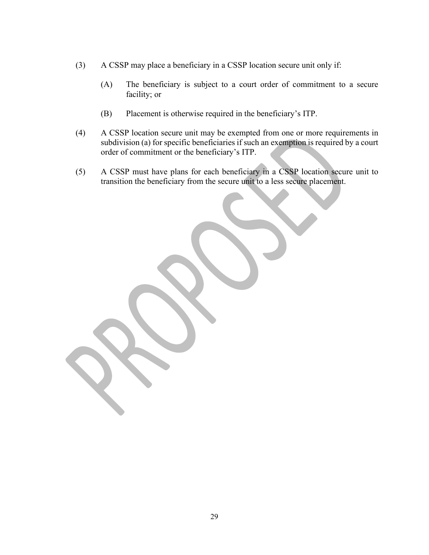- (3) A CSSP may place a beneficiary in a CSSP location secure unit only if:
- (A) The beneficiary is subject to a court order of commitment to a secure<br>
facility; or<br>
(B) Placement is otherwise required in the beneficiary's ITP. facility; or
	- (B) Placement is otherwise required in the beneficiary's ITP.
- (4) A CSSP location secure unit may be exempted from one or more requirements in subdivision (a) for specific beneficiaries if such an exemption is required by a court order of commitment or the beneficiary's ITP.
- (5) A CSSP must have plans for each beneficiary in a CSSP location secure unit to transition the beneficiary from the secure unit to a less secure placement.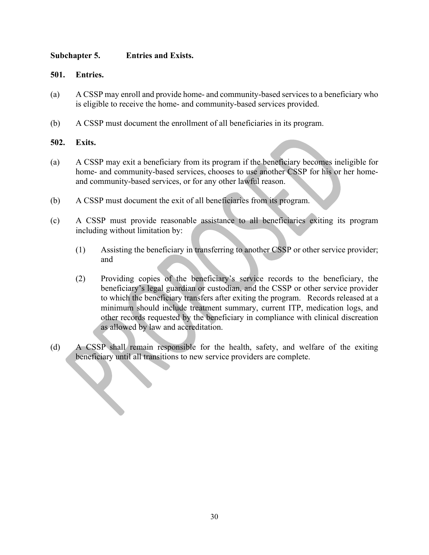# Subchapter 5. Entries and Exists.

## 501. Entries.

- (a) A CSSP may enroll and provide home- and community-based services to a beneficiary who is eligible to receive the home- and community-based services provided.
- (b) A CSSP must document the enrollment of all beneficiaries in its program.

- Subchapter 5. **Entries and Exists.**<br>501. Entries.<br>40 A CSSP may enroll and provide home- and community-based service<br>is eligible to receive the home- and community-based services provi<br>42. A CSSP must document the enrollme Subchapter 5. **Entries and Exists.**<br> **(a)** A CSSP may enroll and provide home- and community-based services to a beneficiary who is cligible to receive the home- and community-based services provided.<br> **(b)** A CSSP must d **Entries and Exists.**<br> **Entries.**<br>
A CSSP may enroll and provide home- and community-based services to a beneficiary who<br>
is eligible to receive the home- and community-based services provided.<br>
A CSSP must document the en and community-based services, or for any other lawful reason. (a) A CSSP may exit a beneficiary from its program.<br>
(b) A CSSP may enroll and provide home- and community-based services to a beneficiary is eligible to receive the home- and community-based services provided.<br>
(b) A CSSP Entrics.<br>
A CSSP may enroll and provide home- and community-based services to a beneficiary who<br>
is eligible to receive the home- and community-based services provided.<br>
A CSSP must document the enrollment of all beneficia
- 
- (c) A CSSP must provide reasonable assistance to all beneficiaries exiting its program including without limitation by:
	- and
- (2) Providing copies of the beneficiary's service records to the beneficiary, the beneficiary's legal guardian or custodian, and the CSSP or other service provider to which the beneficiary transfers after exiting the program. Records released at a The beat of the state of the state of the state of the state of the state of the state and community-based services, chooses to use another CSSP for his or her home-<br>amumity-based services, or for any other lawful reason.<br> other records requested by the beneficiary in compliance with clinical discreation as allowed by law and accreditation. (a) A CSSP shall remain responsible for the health, safety, and welfare of the exiting<br>
(d) A CSSP must document the exit of all beneficiaries from its program.<br>
(c) A CSSP must provide reasonable assistance to all benefic
- beneficiary until all transitions to new service providers are complete.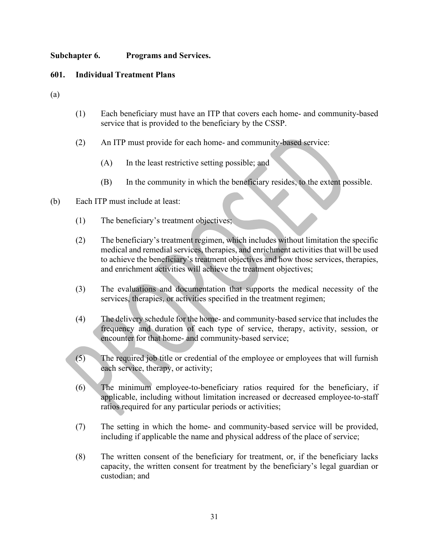# Subchapter 6. Programs and Services.

(a)

- Subchapter 6. Programs and Services.<br>
601. Individual Treatment Plans<br>
(a)<br>
(1) Each beneficiary must have an ITP that covers each home- and community<br>
and the distribution of the beneficiary of the service of the control (1) **Each beneficiary must have an ITP that covers each home- and community-based**<br>
(1) Each beneficiary must have an ITP that covers each home- and community-based<br>
service that is provided to the beneficiary by the CSSP. service that is provided to the beneficiary by the CSSP. (a)<br> **Subchapter 6.** Programs and Services.<br> **Subchapter 6.** Programs and Services.<br>
(a)<br>
(b) Each beneficiary must have an ITP that covers each home-<br>
service that is provided to the beneficiary by the CSSP.<br>
(2) An ITP m
	- (2) An ITP must provide for each home- and community-based service:
		- (A) In the least restrictive setting possible; and
		- (B) In the community in which the beneficiary resides, to the extent possible.
- - (1) The beneficiary's treatment objectives;
- (2) The beneficiary's treatment regimen, which includes without limitation the specific medical and remedial services, therapies, and enrichment activities that will be used Each beneficiary must have an ITP that covers each home- and community-based<br>service that is provided to the beneficiary by the CSSP.<br>An ITP must provide for each home- and community-based service:<br>(A) In the least restric and enrichment activities will achieve the treatment objectives; (4) The delivery schedule for the home- and community-based service:<br>
(4) In the least restrictive setting possible; and<br>
(8) In the community in which the beneficiary resides, to the extent possible.<br>
Each ITP must inclu
	- (3) The evaluations and documentation that supports the medical necessity of the services, therapies, or activities specified in the treatment regimen;
	- frequency and duration of each type of service, therapy, activity, session, or encounter for that home- and community-based service;
	- (5) The required job title or credential of the employee or employees that will furnish each service, therapy, or activity;
	- (6) The minimum employee-to-beneficiary ratios required for the beneficiary, if applicable, including without limitation increased or decreased employee-to-staff ratios required for any particular periods or activities;
	- (7) The setting in which the home- and community-based service will be provided, including if applicable the name and physical address of the place of service;
	- (8) The written consent of the beneficiary for treatment, or, if the beneficiary lacks capacity, the written consent for treatment by the beneficiary's legal guardian or custodian; and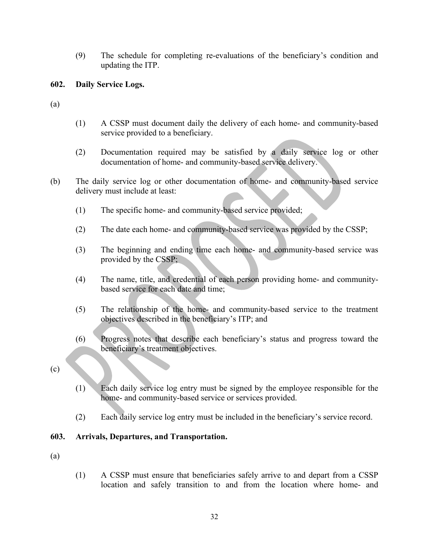(9) The schedule for completing re-evaluations of the beneficiary's condition and updating the ITP. (9) The schedule for completing re-evaluations of the beneficiary's conditional<br>updating the ITP.<br>602. Daily Service Logs.<br>(a) (1) A CSSP must document daily the delivery of each home- and community (9) The schedule for completing re-evaluations of the benefic<br>updating the ITP.<br>602. Daily Service Logs.<br>(a)<br>(1) A CSSP must document daily the delivery of each home-<br>service provided to a beneficiary.

- 
- (1) A CSSP must document daily the delivery of each home- and community-based service provided to a beneficiary.
- (2) Documentation required may be satisfied by a daily service log or other documentation of home- and community-based service delivery.
- (9) The schedule for completing re-evaluations of the beneficiary's condition and<br>updating the ITP.<br> **602.** Daily Service Logs.<br>
(a)<br>
(b) A CSSP must document daily the delivery of each home- and community-based<br>
service delivery must include at least:
	- (1) The specific home- and community-based service provided;
	- (2) The date each home- and community-based service was provided by the CSSP;
	- (3) The beginning and ending time each home- and community-based service was provided by the CSSP;
	- (4) The name, title, and credential of each person providing home- and communitybased service for each date and time;
	- (5) The relationship of the home- and community-based service to the treatment objectives described in the beneficiary's ITP; and
	- (6) Progress notes that describe each beneficiary's status and progress toward the beneficiary's treatment objectives.
- (c)
- (1) Each daily service log entry must be signed by the employee responsible for the home- and community-based service or services provided.
- (2) Each daily service log entry must be included in the beneficiary's service record.

# 603. Arrivals, Departures, and Transportation.

- (a)
- (1) A CSSP must ensure that beneficiaries safely arrive to and depart from a CSSP location and safely transition to and from the location where home- and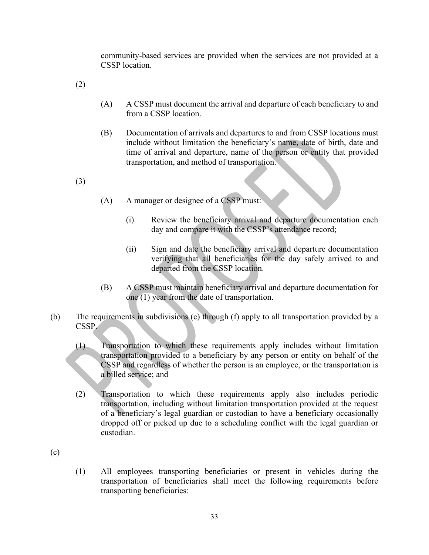community-based services are provided when the services are not provided at a CSSP location.

(2)

- (A) A CSSP must document the arrival and departure of each beneficiary to and from a CSSP location.
- (B) Documentation of arrivals and departures to and from CSSP locations must include without limitation the beneficiary's name, date of birth, date and time of arrival and departure, name of the person or entity that provided transportation, and method of transportation.

(3)

- (A) A manager or designee of a CSSP must:
	- (i) Review the beneficiary arrival and departure documentation each day and compare it with the CSSP's attendance record;
	- (ii) Sign and date the beneficiary arrival and departure documentation verifying that all beneficiaries for the day safely arrived to and departed from the CSSP location.
- (B) A CSSP must maintain beneficiary arrival and departure documentation for one (1) year from the date of transportation.
- (b) The requirements in subdivisions (c) through (f) apply to all transportation provided by a CSSP.
	- (1) Transportation to which these requirements apply includes without limitation transportation provided to a beneficiary by any person or entity on behalf of the CSSP and regardless of whether the person is an employee, or the transportation is a billed service; and
	- (2) Transportation to which these requirements apply also includes periodic transportation, including without limitation transportation provided at the request of a beneficiary's legal guardian or custodian to have a beneficiary occasionally dropped off or picked up due to a scheduling conflict with the legal guardian or custodian.

(c)

(1) All employees transporting beneficiaries or present in vehicles during the transportation of beneficiaries shall meet the following requirements before transporting beneficiaries: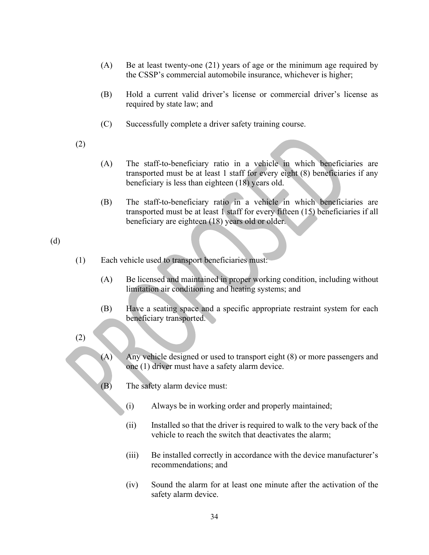- (A) Be at least twenty-one (21) years of age or the minimum age required by
- Be at least twenty-one (21) years of age or the minimum age required by<br>the CSSP's commercial automobile insurance, whichever is higher;<br>Hold a current valid driver's license or commercial driver's license as<br>required by s (B) Hold a current valid driver's license or commercial driver's license as required by state law; and
- (C) Successfully complete a driver safety training course.
- (2)
- (A) The staff-to-beneficiary ratio in a vehicle in which beneficiaries are transported must be at least 1 staff for every eight (8) beneficiaries if any beneficiary is less than eighteen (18) years old.
- (B) The staff-to-beneficiary ratio in a vehicle in which beneficiaries are transported must be at least 1 staff for every fifteen (15) beneficiaries if all beneficiary are eighteen (18) years old or older.

# (d)

- (1) Each vehicle used to transport beneficiaries must:
	- (A) Be licensed and maintained in proper working condition, including without limitation air conditioning and heating systems; and
	- (B) Have a seating space and a specific appropriate restraint system for each beneficiary transported.
- (2)
- (A) Any vehicle designed or used to transport eight (8) or more passengers and one (1) driver must have a safety alarm device.
- (B) The safety alarm device must:
	- (i) Always be in working order and properly maintained;
	- (ii) Installed so that the driver is required to walk to the very back of the vehicle to reach the switch that deactivates the alarm;
	- (iii) Be installed correctly in accordance with the device manufacturer's recommendations; and
	- (iv) Sound the alarm for at least one minute after the activation of the safety alarm device.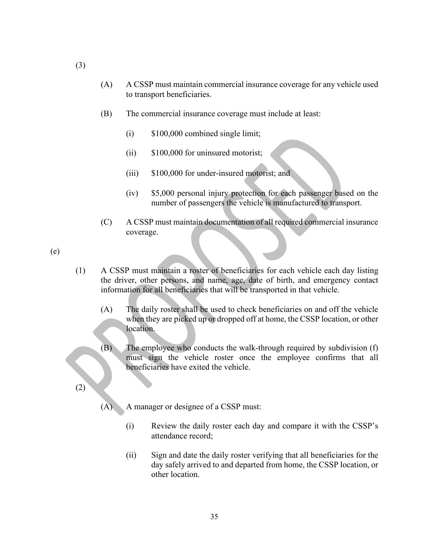- (A) A CSSP must maintain commercial insurance coverage for any vehicle used to transport beneficiaries.
- (B) The commercial insurance coverage must include at least:
	- (i) \$100,000 combined single limit;
	- (ii) \$100,000 for uninsured motorist;
	- (iii) \$100,000 for under-insured motorist; and
	- (iv) \$5,000 personal injury protection for each passenger based on the number of passengers the vehicle is manufactured to transport.
- (C) A CSSP must maintain documentation of all required commercial insurance coverage.

(e)

- (1) A CSSP must maintain a roster of beneficiaries for each vehicle each day listing the driver, other persons, and name, age, date of birth, and emergency contact information for all beneficiaries that will be transported in that vehicle.
	- (A) The daily roster shall be used to check beneficiaries on and off the vehicle when they are picked up or dropped off at home, the CSSP location, or other location.
	- (B) The employee who conducts the walk-through required by subdivision (f) must sign the vehicle roster once the employee confirms that all beneficiaries have exited the vehicle.

(2)

- (A) A manager or designee of a CSSP must:
	- (i) Review the daily roster each day and compare it with the CSSP's attendance record;
	- (ii) Sign and date the daily roster verifying that all beneficiaries for the day safely arrived to and departed from home, the CSSP location, or other location.

(3)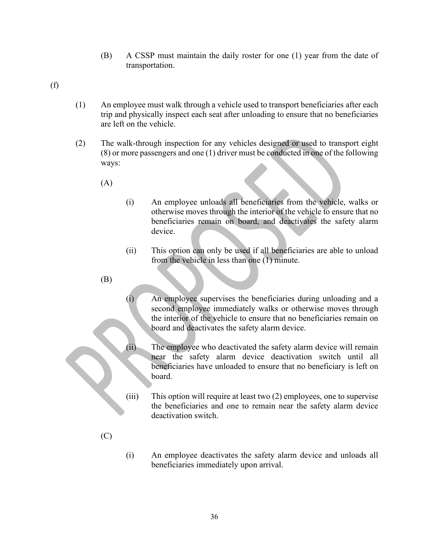- (B) A CSSP must maintain the daily roster for one (1) year from the date of transportation.
- 
- (B) A CSSP must maintain the daily roster for one (1)<br>transportation.<br>(f)  $\blacksquare$  An employee must walk through a vehicle used to transport b<br>trip and physically inspect each seat after unloading to ensure<br>are left on the (1) An employee must walk through a vehicle used to transport beneficiaries after each trip and physically inspect each seat after unloading to ensure that no beneficiaries are left on the vehicle.
	- (2) The walk-through inspection for any vehicles designed or used to transport eight (8) or more passengers and one (1) driver must be conducted in one of the following ways:
		- (A)
- (i) An employee unloads all beneficiaries from the vehicle, walks or otherwise moves through the interior of the vehicle to ensure that no beneficiaries remain on board, and deactivates the safety alarm device.
- (ii) This option can only be used if all beneficiaries are able to unload from the vehicle in less than one (1) minute.
- (B)
- (i) An employee supervises the beneficiaries during unloading and a second employee immediately walks or otherwise moves through the interior of the vehicle to ensure that no beneficiaries remain on board and deactivates the safety alarm device.
- (ii) The employee who deactivated the safety alarm device will remain near the safety alarm device deactivation switch until all beneficiaries have unloaded to ensure that no beneficiary is left on board.
- (iii) This option will require at least two (2) employees, one to supervise the beneficiaries and one to remain near the safety alarm device deactivation switch.
- (C)
- (i) An employee deactivates the safety alarm device and unloads all beneficiaries immediately upon arrival.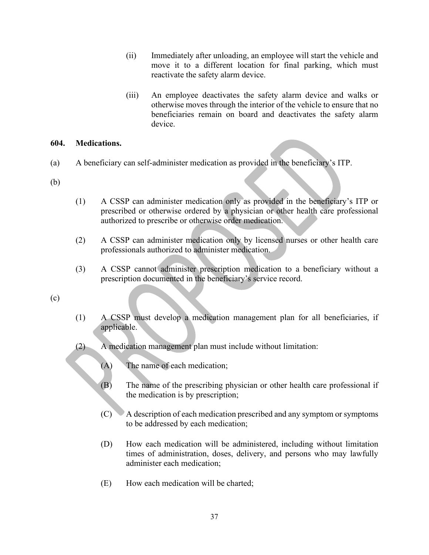- (ii) Immediately after unloading, an employee will start the vehicle and move it to a different location for final parking, which must reactivate the safety alarm device.
- (iii) An employee deactivates the safety alarm device and walks or otherwise moves through the interior of the vehicle to ensure that no beneficiaries remain on board and deactivates the safety alarm device. move it to a different location for final parking, which must<br>reactivate the safety alarm device.<br>(iii) An employee deactivates the safety alarm device and walks or<br>otherwise moves through the interior of the vehicle to en (iii) An employee deactivates the safety alarm device and walks or<br>otherwise moves through the interior of the vehicle to ensure that no<br>beneficiaries remain on board and deactivates the safety alarm<br>device.<br>Medications.<br>A

## 604. Medications.

- (a) A beneficiary can self-administer medication as provided in the beneficiary's ITP.
- (b)
- (1) A CSSP can administer medication only as provided in the beneficiary's ITP or prescribed or otherwise ordered by a physician or other health care professional authorized to prescribe or otherwise order medication.
- professionals authorized to administer medication.
- prescription documented in the beneficiary's service record.

(c)

- (1) A CSSP must develop a medication management plan for all beneficiaries, if applicable.
- (2) A medication management plan must include without limitation:
	- (A) The name of each medication;
	- (B) The name of the prescribing physician or other health care professional if the medication is by prescription;
	- (C) A description of each medication prescribed and any symptom or symptoms to be addressed by each medication;
	- (D) How each medication will be administered, including without limitation times of administration, doses, delivery, and persons who may lawfully administer each medication;
	- (E) How each medication will be charted;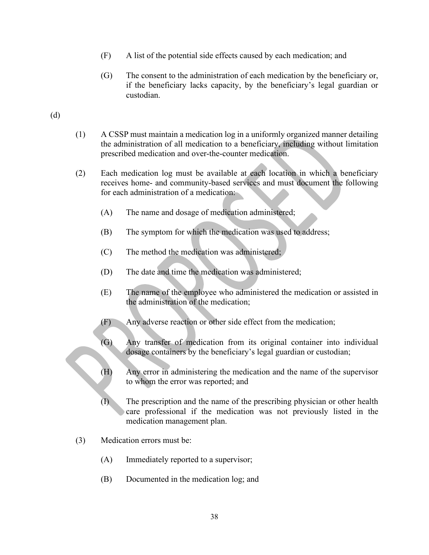- 
- (F) A list of the potential side effects caused by each medication; and<br>(G) The consent to the administration of each medication by the beneficiary or,<br>if the beneficiary lacks capacity, by the beneficiary's legal guardian (G) The consent to the administration of each medication by the beneficiary or, A list of the potential side effects caused by each medication; and<br>The consent to the administration of each medication by the beneficiary or,<br>if the beneficiary lacks capacity, by the beneficiary's legal guardian or<br>cust custodian. (F) A list of the potential side effects caused by each medication; and<br>
(G) The consent to the administration of each medication by the beneficiary or,<br>
if the beneficiary lacks capacity, by the beneficiary's legal guardi

- (F) A list of the potential side effects caused by each med<br>
(G) The consent to the administration of each medication<br>
if the beneficiary lacks capacity, by the beneficiar<br>
custodian.<br>
(d)<br>
(1) A CSSP must maintain a medic (1) A CSSP must maintain a medication log in a uniformly organized manner detailing prescribed medication and over-the-counter medication.
	- (2) Each medication log must be available at each location in which a beneficiary receives home- and community-based services and must document the following for each administration of a medication: (E) A COSSP must maintain a medication log in a uniformly organized manner detailing<br>the administration of all medication to a beneficiary, including without limitation<br>prescribed medication and over-the-counter medication (F) the administration of all medication to a beneficiary, including without limitation<br>
	Fach medication and over-the-counter medication.<br>
	Each medication log must be available at each location in which a beneficiary<br>
	rece edication log must be available at each location in which a beneficiary<br>shome-and community-based services and must document the following<br>a administration of a medication.<br>The name and dosage of medication administered;<br>T
		- (A) The name and dosage of medication administered;
		- (B) The symptom for which the medication was used to address;
		- (C) The method the medication was administered;
		- (D) The date and time the medication was administered;
		- the administration of the medication;
			-
		- (G) Any transfer of medication from its original container into individual
		- (H) Any error in administering the medication and the name of the supervisor to whom the error was reported; and
		- (B) The symptom for which the medication was used to address;<br>
		(C) The method the medication was administered;<br>
		(D) The date and time the medication was administered;<br>
		(E) The name of the employee who administered the med care professional if the medication was not previously listed in the medication management plan.
	- (3) Medication errors must be:
		- (A) Immediately reported to a supervisor;
		- (B) Documented in the medication log; and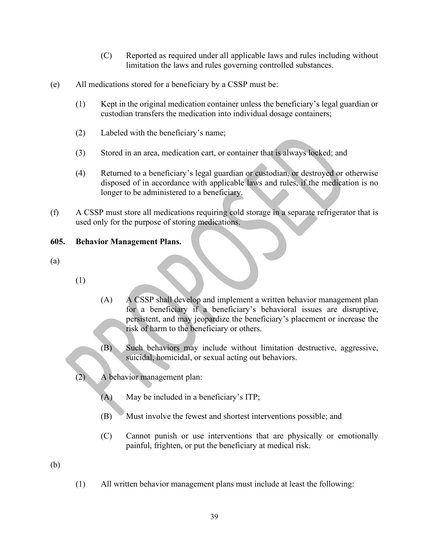- (C) Reported as required under all applicable laws and rules including without limitation the laws and rules governing controlled substances.
- 
- (c) Reported as required under all applicable laws and rules includ<br>limitation the laws and rules governing controlled substances.<br>All medications stored for a beneficiary by a CSSP must be:<br>(1) Kept in the original medica (C) Reported as required under all applicable laws and rules including without<br>limitation the laws and rules governing controlled substances.<br>All medications stored for a beneficiary by a CSSP must be:<br>(1) Kept in the orig custodian transfers the medication into individual dosage containers;
	- (2) Labeled with the beneficiary's name;
	- (3) Stored in an area, medication cart, or container that is always locked; and
- (C) Reported as required under all applicable laws and rules including without<br>
limitation the laws and rules governing controlled substances.<br>
All medications stored for a beneficiary by a CSSP must be:<br>
(1) Kept in the disposed of in accordance with applicable laws and rules, if the medication is no longer to be administered to a beneficiary. imitation the laws and rules governing controlled sulfile.<br>
(c) All medications stored for a beneficiary by a CSSP must be:<br>
(1) Kept in the original medication container unless the beneficiary custodian transfers the medi (e) All medications stored for a beneficiary by a CSSP must be:<br>
(1) Kept in the original medication container unless the beneficial<br>
custodian transfers the medication into individual dosage cor<br>
(2) Labeled with the ben
- (f) A CSSP must store all medications requiring cold storage in a separate refrigerator that is used only for the purpose of storing medications.

- 
- (1)
- (A) A CSSP shall develop and implement a written behavior management plan for a beneficiary if a beneficiary's behavioral issues are disruptive, persistent, and may jeopardize the beneficiary's placement or increase the risk of harm to the beneficiary or others. (A) A CSSP shall develop and implement a written behavior management plan<br>for a beneficiary if a beneficiary's behavioral issues are disruptive,<br>persistent, and may jeopadize the beneficiary's placement or increase the<br>ris (A) A CSSP shall develop and implement a written behavior of the solution of the state of the selection of the selection of the properties of harm to the beneficiary or others.<br>
(B) Such behaviors may include without limit
	- (B) Such behaviors may include without limitation destructive, aggressive, suicidal, homicidal, or sexual acting out behaviors.
	- (2) A behavior management plan:
		- (A) May be included in a beneficiary's ITP;
		-
		- (C) Cannot punish or use interventions that are physically or emotionally painful, frighten, or put the beneficiary at medical risk.
- 
- (1) All written behavior management plans must include at least the following: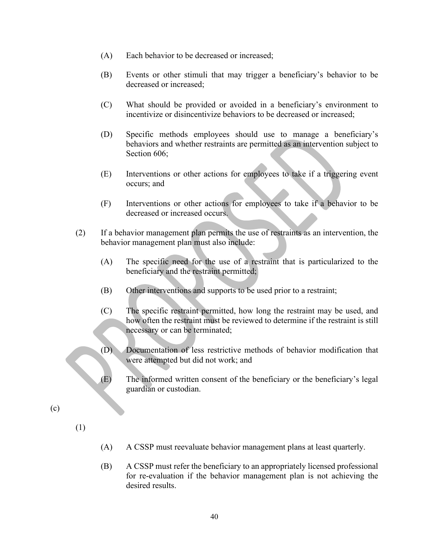- (A) Each behavior to be decreased or increased;
- (B) Events or other stimuli that may trigger a beneficiary's behavior to be decreased or increased;
- (C) What should be provided or avoided in a beneficiary's environment to incentivize or disincentivize behaviors to be decreased or increased;
- (D) Specific methods employees should use to manage a beneficiary's Each behavior to be decreased or increased;<br>Events or other stimuli that may trigger a beneficiary's behavior to be<br>decreased or increased;<br>What should be provided or avoided in a beneficiary's environment to<br>incentivize o Section 606: (A) Each behavior to be decreased or increased;<br>
(B) Events or other stimuli that may trigger a beneficiary's behavior to be decreased or increased;<br>
(C) What should be provided or avoided in a beneficiary's environment t
	- (E) Interventions or other actions for employees to take if a triggering event occurs; and
	- (F) Interventions or other actions for employees to take if a behavior to be decreased or increased occurs.
- behavior management plan must also include:
	- (A) The specific need for the use of a restraint that is particularized to the beneficiary and the restraint permitted;
	- (B) Other interventions and supports to be used prior to a restraint;
	- (C) The specific restraint permitted, how long the restraint may be used, and how often the restraint must be reviewed to determine if the restraint is still necessary or can be terminated;
	- (D) Documentation of less restrictive methods of behavior modification that were attempted but did not work; and
	- (E) The informed written consent of the beneficiary or the beneficiary's legal guardian or custodian.

(c)

- (1)
- (A) A CSSP must reevaluate behavior management plans at least quarterly.
- (B) A CSSP must refer the beneficiary to an appropriately licensed professional for re-evaluation if the behavior management plan is not achieving the desired results.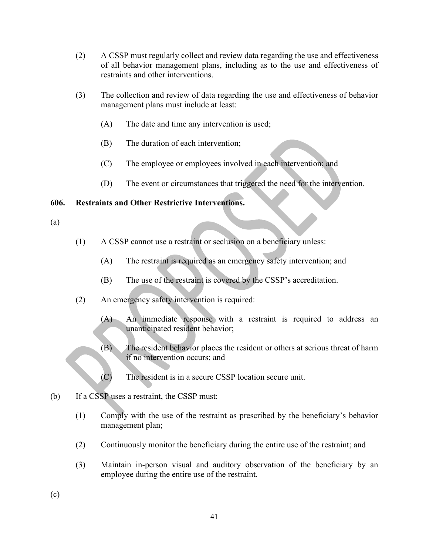- (2) A CSSP must regularly collect and review data regarding the use and effectiveness<br>of all behavior management plans, including as to the use and effectiveness of<br>restraints and other interventions.<br>(3) The collection an of all behavior management plans, including as to the use and effectiveness of restraints and other interventions.
- (3) The collection and review of data regarding the use and effectiveness of behavior management plans must include at least:
	- (A) The date and time any intervention is used;
	- (B) The duration of each intervention;
	- (C) The employee or employees involved in each intervention; and
	- (D) The event or circumstances that triggered the need for the intervention.

# 606. Restraints and Other Restrictive Interventions.

- (a)
- (1) A CSSP cannot use a restraint or seclusion on a beneficiary unless:
	- (A) The restraint is required as an emergency safety intervention; and
	-
- (2) An emergency safety intervention is required:
- management plans must include at least:<br>
(A) The duration of each intervention;<br>
(C) The employee or employees involved in each intervention; and<br>
(D) The event or circumstances that triggered the need for the intervention (A) An immediate response with a restraint is required to address an unanticipated resident behavior;
- (B) The event or circumstances that triggered the need for the intervention.<br>
Ints and Other Restrictive Interventions.<br>
A CSSP cannot use a restraint or seclusion on a beneficiary unless:<br>
(A) The restraint is required as if no intervention occurs; and
	- (C) The resident is in a secure CSSP location secure unit.
- (b) If a CSSP uses a restraint, the CSSP must:
	- (1) Comply with the use of the restraint as prescribed by the beneficiary's behavior management plan;
	- (2) Continuously monitor the beneficiary during the entire use of the restraint; and
	- (3) Maintain in-person visual and auditory observation of the beneficiary by an employee during the entire use of the restraint.

(c)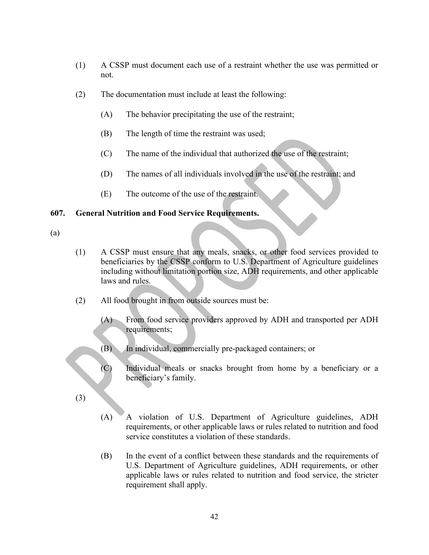- (1) A CSSP must document each use of a restraint whether the use was permitted or not.
- (2) The documentation must include at least the following:
	- (A) The behavior precipitating the use of the restraint;
	- (B) The length of time the restraint was used;
	- (C) The name of the individual that authorized the use of the restraint;
	- (D) The names of all individuals involved in the use of the restraint; and
	- (E) The outcome of the use of the restraint.

# 607. General Nutrition and Food Service Requirements.

# (a)

- (1) A CSSP must ensure that any meals, snacks, or other food services provided to beneficiaries by the CSSP conform to U.S. Department of Agriculture guidelines including without limitation portion size, ADH requirements, and other applicable laws and rules.
- (2) All food brought in from outside sources must be:
	- (A) From food service providers approved by ADH and transported per ADH requirements;
	- (B) In individual, commercially pre-packaged containers; or
	- (C) Individual meals or snacks brought from home by a beneficiary or a beneficiary's family.
- (3)
- (A) A violation of U.S. Department of Agriculture guidelines, ADH requirements, or other applicable laws or rules related to nutrition and food service constitutes a violation of these standards.
- (B) In the event of a conflict between these standards and the requirements of U.S. Department of Agriculture guidelines, ADH requirements, or other applicable laws or rules related to nutrition and food service, the stricter requirement shall apply.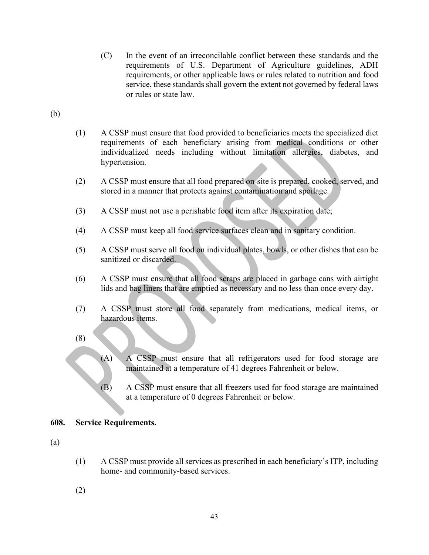- (C) In the event of an irreconcilable conflict between these standards and the requirements of U.S. Department of Agriculture guidelines, ADH requirements, or other applicable laws or rules related to nutrition and food service, these standards shall govern the extent not governed by federal laws or rules or state law. (C) In the event of an irreconcilable conflict between th<br>requirements of U.S. Department of Agriculture<br>requirements, or other applicable laws or rules related<br>service, these standards shall govern the extent not go<br>or ru (C) In the event of an irreconcilable conflict between these standards and the requirements of U.S. Department of Agriculture guidelines, ADH requirements, or other applicable laws so rules clated to nutrition and food se (C) In the event of an irreconcilable conflict between these standards and the<br>requirements of U.S. Department of Agriculture guidelines, ADH<br>requirements, or other applicable laws or rules related to nutrition and food<br>s
- 
- (1) A CSSP must ensure that food provided to beneficiaries meets the specialized diet requirements of each beneficiary arising from medical conditions or other individualized needs including without limitation allergies, diabetes, and hypertension. (1) A CSSP must ensure that food provided to beneficiaries meets the specialized diet<br>requirements of each beneficiary arising from medical conditions or other<br>individualized needs including without limitation allergies, d
- (2) A CSSP must ensure that all food prepared on-site is prepared, cooked, served, and stored in a manner that protects against contamination and spoilage.
- 
- 
- (5) A CSSP must serve all food on individual plates, bowls, or other dishes that can be sanitized or discarded.
- (6) A CSSP must ensure that all food scraps are placed in garbage cans with airtight lids and bag liners that are emptied as necessary and no less than once every day.
- hazardous items.
- (8)
- (A) A CSSP must ensure that all refrigerators used for food storage are maintained at a temperature of 41 degrees Fahrenheit or below.
- (B) A CSSP must ensure that all freezers used for food storage are maintained at a temperature of 0 degrees Fahrenheit or below.

## 608. Service Requirements.

- (a)
- (1) A CSSP must provide all services as prescribed in each beneficiary's ITP, including home- and community-based services.
- (2)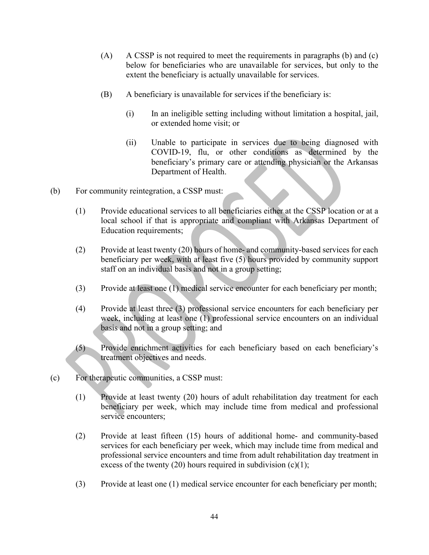- (A) A CSSP is not required to meet the requirements in paragraphs (b) and (c) below for beneficiaries who are unavailable for services, but only to the extent the beneficiary is actually unavailable for services.
- (B) A beneficiary is unavailable for services if the beneficiary is:
	- (i) In an ineligible setting including without limitation a hospital, jail, or extended home visit; or
- (ii) Unable to participate in services due to being diagnosed with COVID-19, flu, or other conditions as determined by the beneficiary's primary care or attending physician or the Arkansas Department of Health. (A) A CSSP is not required to meet the requirements in paragraphs (b) and (c)<br>below for beneficiaries who are unavailable for services, but only to the<br>extent the beneficiary is antually unavailable for services.<br>(B) A be
- (b) For community reintegration, a CSSP must:
	- local school if that is appropriate and compliant with Arkansas Department of Education requirements;
	- (2) Provide at least twenty (20) hours of home- and community-based services for each beneficiary per week, with at least five (5) hours provided by community support staff on an individual basis and not in a group setting;
	- (3) Provide at least one (1) medical service encounter for each beneficiary per month;
	- (4) Provide at least three (3) professional service encounters for each beneficiary per week, including at least one (1) professional service encounters on an individual basis and not in a group setting; and
	- (5) Provide enrichment activities for each beneficiary based on each beneficiary's treatment objectives and needs.
- (c) For therapeutic communities, a CSSP must:
	- (1) Provide at least twenty (20) hours of adult rehabilitation day treatment for each beneficiary per week, which may include time from medical and professional service encounters;
	- (2) Provide at least fifteen (15) hours of additional home- and community-based services for each beneficiary per week, which may include time from medical and professional service encounters and time from adult rehabilitation day treatment in excess of the twenty (20) hours required in subdivision  $(c)(1)$ ;
	- (3) Provide at least one (1) medical service encounter for each beneficiary per month;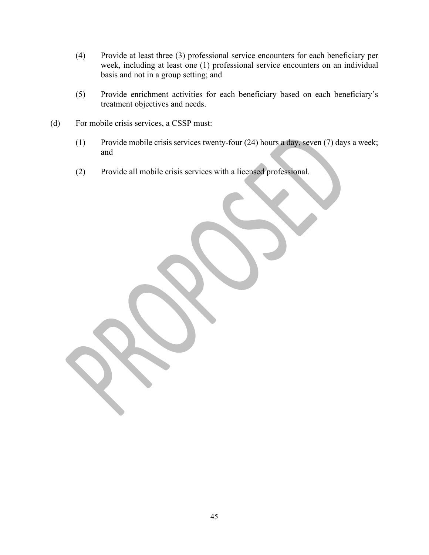- (4) Provide at least three (3) professional service encounters for each beneficiary per week, including at least one (1) professional service encounters on an individual basis and not in a group setting; and
- (5) Provide enrichment activities for each beneficiary based on each beneficiary's treatment objectives and needs.
- (d) For mobile crisis services, a CSSP must:
	- (1) Provide mobile crisis services twenty-four (24) hours a day, seven (7) days a week; and
	- (2) Provide all mobile crisis services with a licensed professional.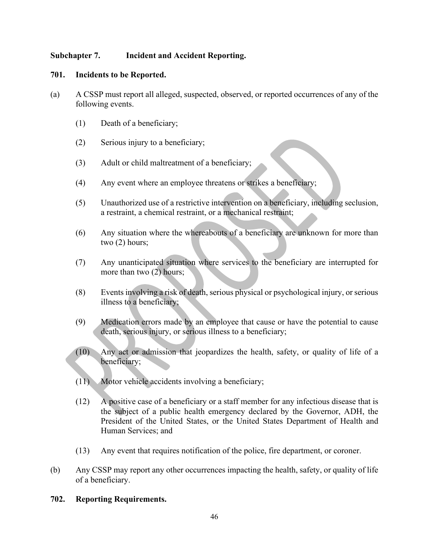# Subchapter 7. Incident and Accident Reporting.

### 701. Incidents to be Reported.

- (a) A CSSP must report all alleged, suspected, observed, or reported occurrences of any of the following events.
	- (1) Death of a beneficiary;
	- (2) Serious injury to a beneficiary;
	- (3) Adult or child maltreatment of a beneficiary;
	- (4) Any event where an employee threatens or strikes a beneficiary;
	- (5) Unauthorized use of a restrictive intervention on a beneficiary, including seclusion, a restraint, a chemical restraint, or a mechanical restraint;
	- (6) Any situation where the whereabouts of a beneficiary are unknown for more than two (2) hours;
	- (7) Any unanticipated situation where services to the beneficiary are interrupted for more than two (2) hours;
	- (8) Events involving a risk of death, serious physical or psychological injury, or serious illness to a beneficiary;
	- (9) Medication errors made by an employee that cause or have the potential to cause death, serious injury, or serious illness to a beneficiary;
	- (10) Any act or admission that jeopardizes the health, safety, or quality of life of a beneficiary;
	- (11) Motor vehicle accidents involving a beneficiary;
- (12) A positive case of a beneficiary or a staff member for any infectious disease that is the subject of a public health emergency declared by the Governor, ADH, the President of the United States, or the United States Department of Health and Human Services; and (8) Events involving a risk of death, serious physical or psychological injury, or serious<br>illness to a beneficiary;<br>(9) Medication errors made by an employee that cause or have the potential to cause<br>death, serious injur
	- (13) Any event that requires notification of the police, fire department, or coroner.
- of a beneficiary.

## 702. Reporting Requirements.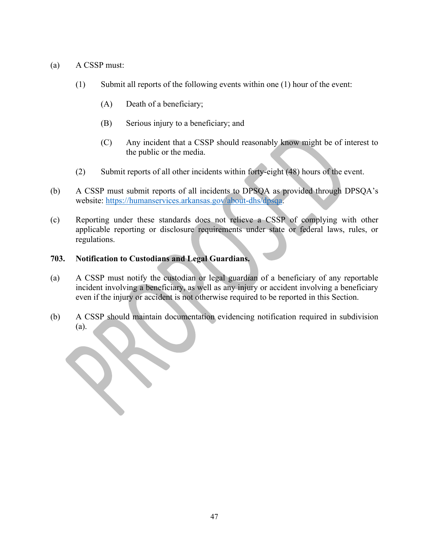- 
- (a) A CSSP must:<br>
(1) Submit all reports of the following events within one (1) hou<br>
(A) Death of a beneficiary; (1) Submit all reports of the following events within one (1) hour of the event:
	- (A) Death of a beneficiary;
	- (B) Serious injury to a beneficiary; and
	- (C) Any incident that a CSSP should reasonably know might be of interest to the public or the media.
	- (2) Submit reports of all other incidents within forty-eight (48) hours of the event.
- (b) A CSSP must submit reports of all incidents to DPSQA as provided through DPSQA's
- (a) A CSSP must:<br>
(1) Submit all reports of the following events within one (1) hour of the event:<br>
(A) Death of a beneficiary;<br>
(B) Serious injury to a beneficiary; and<br>
(C) Any incident that a CSSP should reasonably kno applicable reporting or disclosure requirements under state or federal laws, rules, or regulations. (1) Submit all reports of the following events within one (1) hou (A) Death of a beneficiary;<br>
(B) Serious injury to a beneficiary; and (C) Any incident that a CSSP should reasonably know r the public or the media.<br>
(2) S (A) Death of a beneficiary;<br>
(B) Scrious injury to a beneficiary; and<br>
(C) Any incident that a CSSP should reasonably know might be of interest to<br>
the public or the media.<br>
(2) Submit reports of all incidents within fort (b) Semivolving a beneficiary; and<br>
(c) Any incident that a CSSP should reasonably know might be of interest to<br>
the public or the media.<br>
(2) Submit reports of all other incidents within forty-cight (48) hours of the eve (C) Any incident that a CSSP should reasonably know might be of interest to<br>the public or the media.<br>(2) Submit reports of all other incidents within forty-eight (48) hours of the event.<br>(b) A CSSP must submit reports of

- even if the injury or accident is not otherwise required to be reported in this Section.
- (a).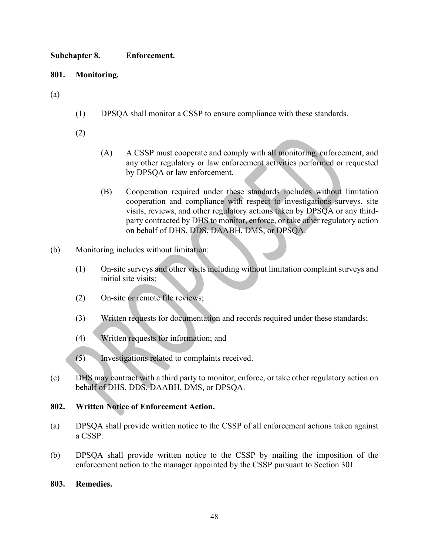# Subchapter 8. Enforcement.

# 801. Monitoring.

- Subchapter 8. Enforcement.<br>
801. Monitoring.<br>
(a) (1) DPSQA shall monitor a CSSP to ensure compliance with the<br>
(2) (1) DPSQA shall monitor a CSSP to ensure compliance with these standards.
	- (2)
- (A) A CSSP must cooperate and comply with all monitoring, enforcement, and any other regulatory or law enforcement activities performed or requested by DPSQA or law enforcement.
- (B) Cooperation required under these standards includes without limitation cooperation and compliance with respect to investigations surveys, site Enforcement.<br>
A CSSP must cooperate and comply with all monitoring, enforcement, and<br>
any other regulatory or law enforcement activities performed or requested<br>
by DPSQA or law enforcement.<br>
Cooperation required under thes party contracted by DHS to monitor, enforce, or take other regulatory action Enforcement.<br>
A CSSP must cooperate and comply with all monitoring, enforcement, and<br>
A CSSP must cooperate and comply with all monitoring, enforcement, and<br>
by DPSQA or law enforcement.<br>
By OPSQA or law enforcement.<br>
Coop visits, reviews, and other regulatory actions taken by DPSQA or any third-<br>party contracted by DHS to momitor, enforce, or take other regulatory action<br>on behalf of DHS, DDS, DAABH, DMS, or DPSQA.<br>Monitoring includes witho
- (b) Monitoring includes without limitation:
	- (1) On-site surveys and other visits including without limitation complaint surveys and initial site visits;
	- (2) On-site or remote file reviews;
	- (3) Written requests for documentation and records required under these standards;
	- (4) Written requests for information; and
	- (5) Investigations related to complaints received.
- (c) DHS may contract with a third party to monitor, enforce, or take other regulatory action on on behalf of DHS, DDS, DAABH, DMS, or DPSQA.<br>
(b) Monitoring includes without limitation:<br>
(l) On-site surveys and other visits including without limitation cinitial site visits;<br>
(2) On-site or remote file reviews;<br>
(3) W

- a CSSP.
- (b) Monitoring includes without limitation:<br>
(1) On-site surveys and other visits including without limitation complaint surveys and<br>
initial site visits;<br>
(2) On-site or temote file reviews;<br>
(3) Written requests for inf (c) include the content of the reviews;<br>
(d) Written requests for documentation and records required under these standards;<br>
(d) Written requests for information; and<br>
(c) DHS may contract with a third party to monitor, en enforcement action to the manager appointed by the CSSP pursuant to Section 301.

## 803. Remedies.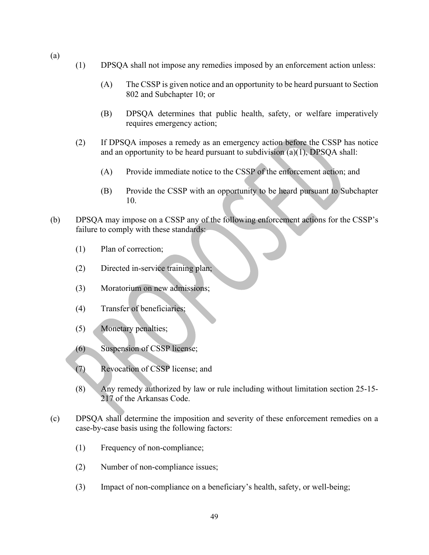- (1) DPSQA shall not impose any remedies imposed by an enforcement action unless:
- (a)<br>
(1) DPSQA shall not impose any remedies imposed by an enforce<br>
(A) The CSSP is given notice and an opportunity to be hea<br>  $802$  and Subchapter 10; or 802 and Subchapter 10; or
	- (A) DPSQA shall not impose any remedies imposed by an enforcement action unless:<br>
	(A) The CSSP is given notice and an opportunity to be heard pursuant to Section<br>
	802 and Subchapter 10; or<br>
	(B) DPSQA determines that public (B) DPSQA determines that public health, safety, or welfare imperatively requires emergency action; (A) The CSSP is given notice and an opportunity to be heard pursuant to Section<br>
	802 and Subchapter 10; or<br>
	(B) DPSQA determines that public health, safety, or welfare imperatively<br>
	requires emergency action;<br>
	If DPSQA imp
	- (1) DPSQA shall not impose any remedies imposed by an enforcement action unless:<br>
	(A) The CSSP is given notice and an opportunity to be heard pursuant to Section 802 and Subchapter 10; or<br>
	(B) DPSQA determines that public and an opportunity to be heard pursuant to subdivision  $(a)(1)$ , DPSQA shall:
		-
		- (B) Provide the CSSP with an opportunity to be heard pursuant to Subchapter 10.
- (b) DPSQA may impose on a CSSP any of the following enforcement actions for the CSSP's failure to comply with these standards:
	- (1) Plan of correction;
	- (2) Directed in-service training plan;
	- (3) Moratorium on new admissions;
	- (4) Transfer of beneficiaries;
	- (5) Monetary penalties;
	- (6) Suspension of CSSP license;
	- (7) Revocation of CSSP license; and
	- (8) Any remedy authorized by law or rule including without limitation section 25-15- 217 of the Arkansas Code.
- (c) DPSQA shall determine the imposition and severity of these enforcement remedies on a case-by-case basis using the following factors:
	- (1) Frequency of non-compliance;
	- (2) Number of non-compliance issues;
	- (3) Impact of non-compliance on a beneficiary's health, safety, or well-being;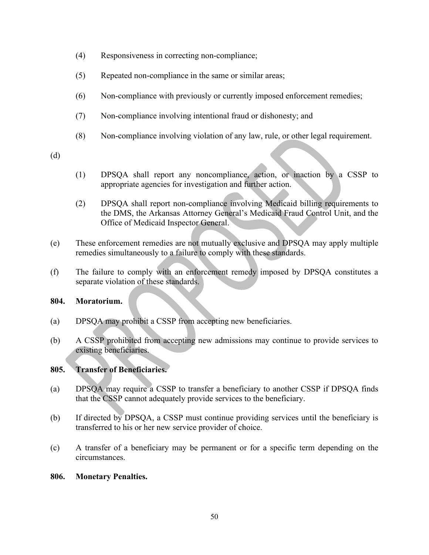- (4) Responsiveness in correcting non-compliance;
- (5) Repeated non-compliance in the same or similar areas;
- (6) Non-compliance with previously or currently imposed enforcement remedies;
- (7) Non-compliance involving intentional fraud or dishonesty; and
- (8) Non-compliance involving violation of any law, rule, or other legal requirement.

(d)

- appropriate agencies for investigation and further action.
- (4) Responsiveness in correcting non-compliance;<br>
(5) Repeated non-compliance in the same or similar areas;<br>
(6) Non-compliance with previously or currently imposed enforcement remedies;<br>
(7) Non-compliance involving inten (2) DPSQA shall report non-compliance involving Medicaid billing requirements to the DMS, the Arkansas Attorney General's Medicaid Fraud Control Unit, and the Office of Medicaid Inspector General.
- (e) These enforcement remedies are not mutually exclusive and DPSQA may apply multiple remedies simultaneously to a failure to comply with these standards.
- (f) The failure to comply with an enforcement remedy imposed by DPSQA constitutes a separate violation of these standards.

## 804. Moratorium.

- (a) DPSQA may prohibit a CSSP from accepting new beneficiaries.
- (b) A CSSP prohibited from accepting new admissions may continue to provide services to existing beneficiaries.

# 805. Transfer of Beneficiaries.

- (a) DPSQA may require a CSSP to transfer a beneficiary to another CSSP if DPSQA finds that the CSSP cannot adequately provide services to the beneficiary.
- (b) If directed by DPSQA, a CSSP must continue providing services until the beneficiary is transferred to his or her new service provider of choice.
- (c) A transfer of a beneficiary may be permanent or for a specific term depending on the circumstances.

## 806. Monetary Penalties.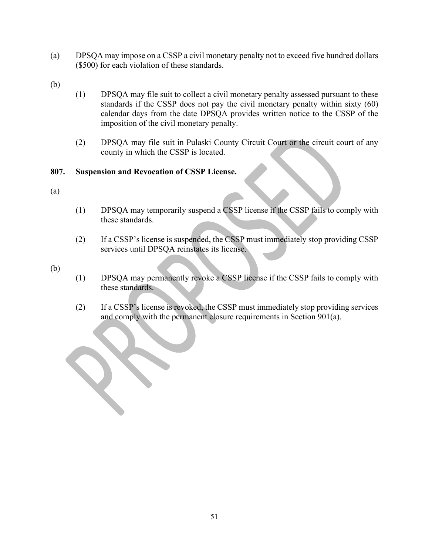- (a) DPSQA may impose on a CSSP a civil monetary penalty not to exceed five hundred dollars<br>
(500) for each violation of these standards.<br>
(b)  $(1)$  DPSQA may file suit to collect a civil monetary penalty assessed pursuant (\$500) for each violation of these standards.
- 
- (a) DPSQA may impose on a CSSP a civil monetary penalty not to excee<br>(\$500) for each violation of these standards.<br>(b) (1) DPSQA may file suit to collect a civil monetary penalty asses and ard sif the CSSP does not pay the (1) DPSQA may file suit to collect a civil monetary penalty assessed pursuant to these Solution of these standards in the CSSP a civil monetary penalty not to exceed five hundred dollars<br>for each violation of these standards.<br>DPSQA may file suit to collect a civil monetary penalty assessed pursuant to these<br> calendar days from the date DPSQA provides written notice to the CSSP of the imposition of the civil monetary penalty. (a) DPSQA may impose on a CSSP a civil monetary penalty not to excec<br>
(\$500) for each violation of these standards.<br>
(b) CDPSQA may file suit to collect a civil monetary penalty asses<br>
tandards if the CSSP does not pay the (1) DPSQA may file suit to collect a civil monetary penalty asses at and ards if the CSSP does not pay the civil monetary penalty assess at a may file suit in Pulaski County circuit Court or the composition of the civil mo (1) DRSQA may be measured to the CSSP discussed provides within sixty (60)<br>calendar days from the date DPSQA provides written notice to the CSSP of the<br>imposition of the civil means in Pulaski County Circuit Court or the c
	- (2) DPSQA may file suit in Pulaski County Circuit Court or the circuit court of any county in which the CSSP is located.

- (a)
- (1) DPSQA may temporarily suspend a CSSP license if the CSSP fails to comply with these standards.
- (2) If a CSSP's license is suspended, the CSSP must immediately stop providing CSSP services until DPSQA reinstates its license.

- these standards.
- (2) If a CSSP's license is revoked, the CSSP must immediately stop providing services and comply with the permanent closure requirements in Section 901(a).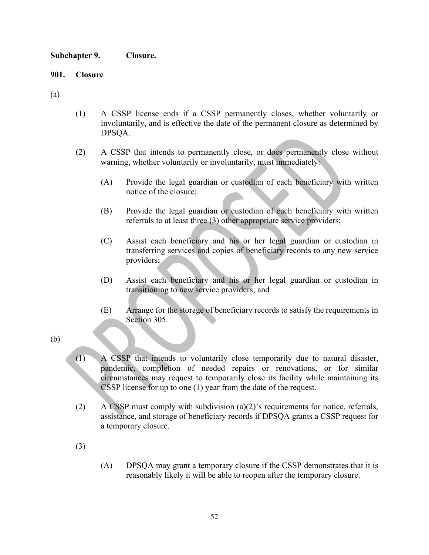Subchapter 9. Closure.

- Subchapter 9. Closure.<br>
901. Closure<br>
(a)<br>
(1) A CSSP license ends if a CSSP permanently closes, w Subchapter 9. Closure.<br>
901. Closure<br>
(a)<br>
(1) A CSSP license ends if a CSSP permanently closes, w<br>
involuntarily, and is effective the date of the permanent clos<br>
DPSQA. (1) A CSSP license ends if a CSSP permanently closes, whether voluntarily or<br>involuntarily, and is effective the date of the permanent closure as determined by<br>DPSQA.<br>(2) A CSSP that intends to permanently close, or does p involuntarily, and is effective the date of the permanent closure as determined by DPSQA.
	- (2) A CSSP that intends to permanently close, or does permanently close without warning, whether voluntarily or involuntarily, must immediately:
		- (A) Provide the legal guardian or custodian of each beneficiary with written notice of the closure;
		- (B) Provide the legal guardian or custodian of each beneficiary with written referrals to at least three (3) other appropriate service providers;
- (C) Assist each beneficiary and his or her legal guardian or custodian in transferring services and copies of beneficiary records to any new service providers; SCONTEX ARRANGER AND THE STORE AND MOREOVED AND ACCORD AND MATTEM (SCOND AT A THOMATE AND AND MATTEM TO THE STORAGE OF THE STORAGE OF THE STORAGE OF THE STORAGE OF THE STORAGE OF THE STORAGE OF THE STORAGE OF THE STORAGE O
	- (D) Assist each beneficiary and his or her legal guardian or custodian in transitioning to new service providers; and
	- Section 305.
- 
- warning, whether voluntarily or involuntarily, must immedia<br>
(A) Provide the legal guardian or custodian of each bei<br>
notice of the closure;<br>
(B) Provide the legal guardian or custodian of each bei<br>
referrals to at least t (A) Provide the legal guardian or custodian of each beneficiary with written<br>notice of the closure;<br>(B) Provide the legal guardian or custodian of each beneficiary with written<br>referrals to at least three (3) other approp pandemic, completion of needed repairs or renovations, or for similar circumstances may request to temporarily close its facility while maintaining its CSSP license for up to one (1) year from the date of the request. (C) Assist each beneficiary and his or her legal guardian or custodian in transferring services and copies of beneficiary records to any new service providers.<br>
(D) Assist each beneficiary and his or her legal guardian or transitioning to new service providers; and<br>
(E) Arrange for the storage of beneficiary records to satisfy the requirements in<br>
Section 305.<br>
A CSSP that intends to voluntarily close temporarily due to natural disaster,<br>
p
	- (2) A CSSP must comply with subdivision (a)(2)'s requirements for notice, referrals, a temporary closure.
	- (3)
- reasonably likely it will be able to reopen after the temporary closure.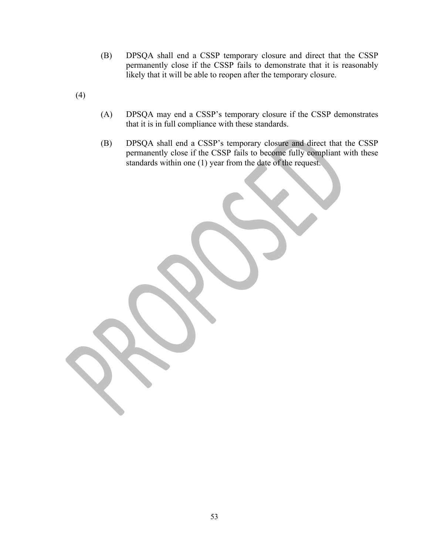- (B) DPSQA shall end a CSSP temporary closure and direct that the CSSP permanently close if the CSSP fails to demonstrate that it is reasonably DPSQA shall end a CSSP temporary closure and direct that the CSSP<br>permanently close if the CSSP fails to demonstrate that it is reasonably<br>likely that it will be able to reopen after the temporary closure. likely that it will be able to reopen after the temporary closure.
- (4)
- (A) DPSQA may end a CSSP's temporary closure if the CSSP demonstrates that it is in full compliance with these standards.
- (B) DPSQA shall end a CSSP's temporary closure and direct that the CSSP permanently close if the CSSP fails to become fully compliant with these standards within one (1) year from the date of the request.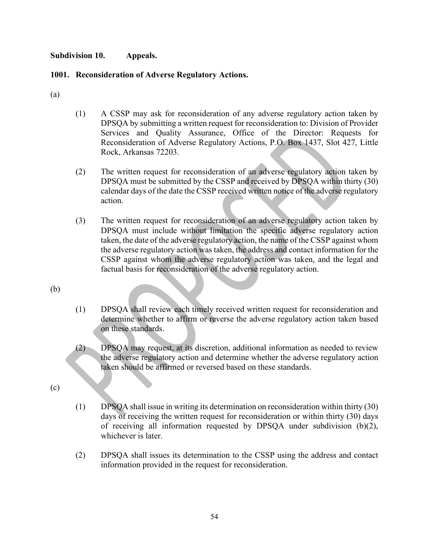# Subdivision 10. Appeals.<br>1001. Reconsideration of Adverse Regulatory Actions.<br>(a) 1001. Reconsideration of Adverse Regulatory Actions.

- Subdivision 10. Appeals.<br>
1001. Reconsideration of Adverse Regulatory Actions.<br>
(a)<br>
(1) A CSSP may ask for reconsideration of any adverse regularity DPSQA by submitting a written request for reconsideration to<br>
Services a (1) A CSSP may ask for reconsideration of any adverse regulatory action taken by DPSQA by submitting a written request for reconsideration to: Division of Provider Services and Quality Assurance, Office of the Director: Requests for Reconsideration of Adverse Regulatory Actions, P.O. Box 1437, Slot 427, Little Rock, Arkansas 72203. **Appeals.**<br> **ACSSP** may ask for reconsideration of any adverse regulatory action taken by<br>
DPSQA by submitting a written request for reconsideration to: Division of Provider<br>
Services and Quality Assurance, Office of the D
	- (2) The written request for reconsideration of an adverse regulatory action taken by calendar days of the date the CSSP received written notice of the adverse regulatory action.
	- (3) The written request for reconsideration of an adverse regulatory action taken by DPSQA must include without limitation the specific adverse regulatory action taken, the date of the adverse regulatory action, the name of the CSSP against whom the adverse regulatory action was taken, the address and contact information for the CSSP against whom the adverse regulatory action was taken, and the legal and factual basis for reconsideration of the adverse regulatory action.
- (b)
- (1) DPSQA shall review each timely received written request for reconsideration and determine whether to affirm or reverse the adverse regulatory action taken based on these standards.
- (2) DPSQA may request, at its discretion, additional information as needed to review the adverse regulatory action and determine whether the adverse regulatory action taken should be affirmed or reversed based on these standards.

- (c) (1) DPSQA shall issue in writing its determination on reconsideration within thirty (30) days of receiving the written request for reconsideration or within thirty (30) days of receiving all information requested by DPSQA under subdivision (b)(2), whichever is later.
	- (2) DPSQA shall issues its determination to the CSSP using the address and contact information provided in the request for reconsideration.